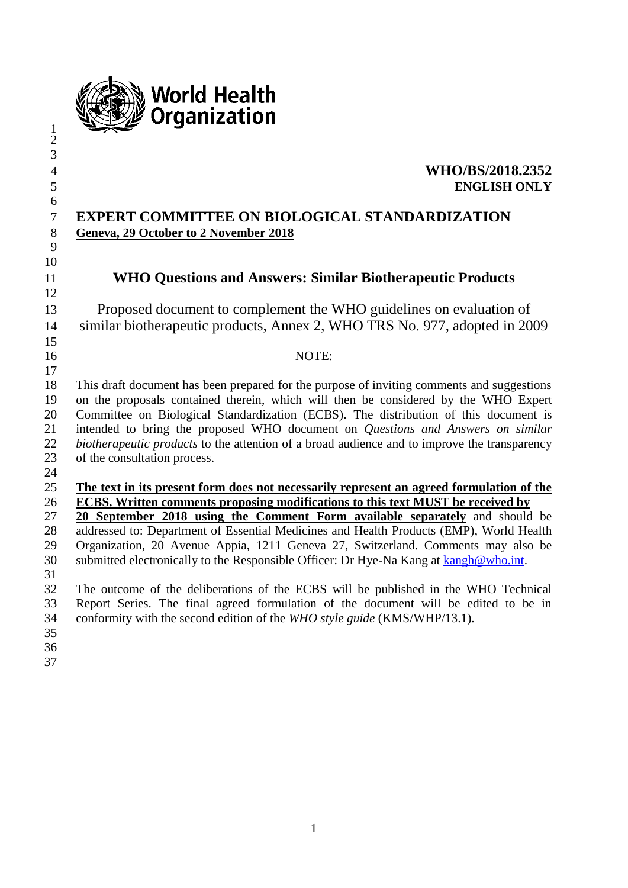

#### **WHO/BS/2018.2352 ENGLISH ONLY**

#### **EXPERT COMMITTEE ON BIOLOGICAL STANDARDIZATION Geneva, 29 October to 2 November 2018**

## **WHO Questions and Answers: Similar Biotherapeutic Products**

 Proposed document to complement the WHO guidelines on evaluation of similar biotherapeutic products, Annex 2, WHO TRS No. 977, adopted in 2009 

#### NOTE:

 This draft document has been prepared for the purpose of inviting comments and suggestions on the proposals contained therein, which will then be considered by the WHO Expert Committee on Biological Standardization (ECBS). The distribution of this document is intended to bring the proposed WHO document on *Questions and Answers on similar biotherapeutic products* to the attention of a broad audience and to improve the transparency of the consultation process.

 

#### **The text in its present form does not necessarily represent an agreed formulation of the ECBS. Written comments proposing modifications to this text MUST be received by**

 **20 September 2018 using the Comment Form available separately** and should be addressed to: Department of Essential Medicines and Health Products (EMP), World Health Organization, 20 Avenue Appia, 1211 Geneva 27, Switzerland. Comments may also be submitted electronically to the Responsible Officer: Dr Hye-Na Kang at [kangh@who.int.](mailto:kangh@who.int)

 The outcome of the deliberations of the ECBS will be published in the WHO Technical Report Series. The final agreed formulation of the document will be edited to be in conformity with the second edition of the *WHO style guide* (KMS/WHP/13.1).

- 
- 
-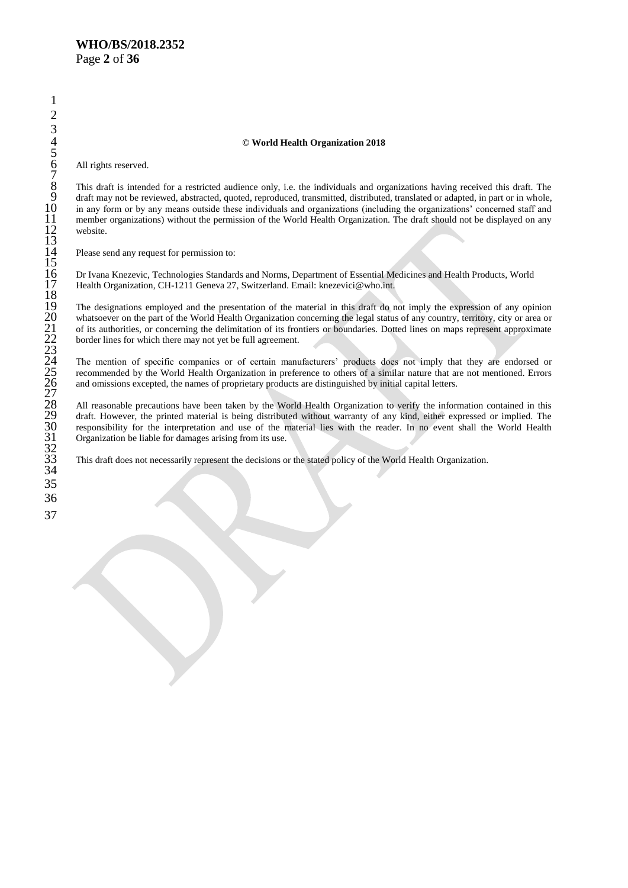#### **© World Health Organization 2018**

All rights reserved.

This draft is intended for a restricted audience only, i.e. the individuals and organizations having received this draft. The draft may not be reviewed, abstracted, quoted, reproduced, transmitted, distributed, translated or adapted, in part or in whole, in any form or by any means outside these individuals and organizations (including the organizations' concerned staff and member organizations) without the permission of the World Health Organization. The draft should not be displayed on any website.

Please send any request for permission to:

 Dr Ivana Knezevic, Technologies Standards and Norms, Department of Essential Medicines and Health Products, World Health Organization, CH-1211 Geneva 27, Switzerland. Email: knezevici@who.int.

 The designations employed and the presentation of the material in this draft do not imply the expression of any opinion whatsoever on the part of the World Health Organization concerning the legal status of any country, territory, city or area or of its authorities, or concerning the delimitation of its frontiers or boundaries. Dotted lines on maps represent approximate border lines for which there may not yet be full agreement.

The mention of specific companies or of certain manufacturers' products does not imply that they are endorsed or recommended by the World Health Organization in preference to others of a similar nature that are not mentioned. Errors and omissions excepted, the names of proprietary products are distinguished by initial capital letters.

 All reasonable precautions have been taken by the World Health Organization to verify the information contained in this draft. However, the printed material is being distributed without warranty of any kind, either expressed or implied. The responsibility for the interpretation and use of the material lies with the reader. In no event shall the World Health Organization be liable for damages arising from its use.

This draft does not necessarily represent the decisions or the stated policy of the World Health Organization.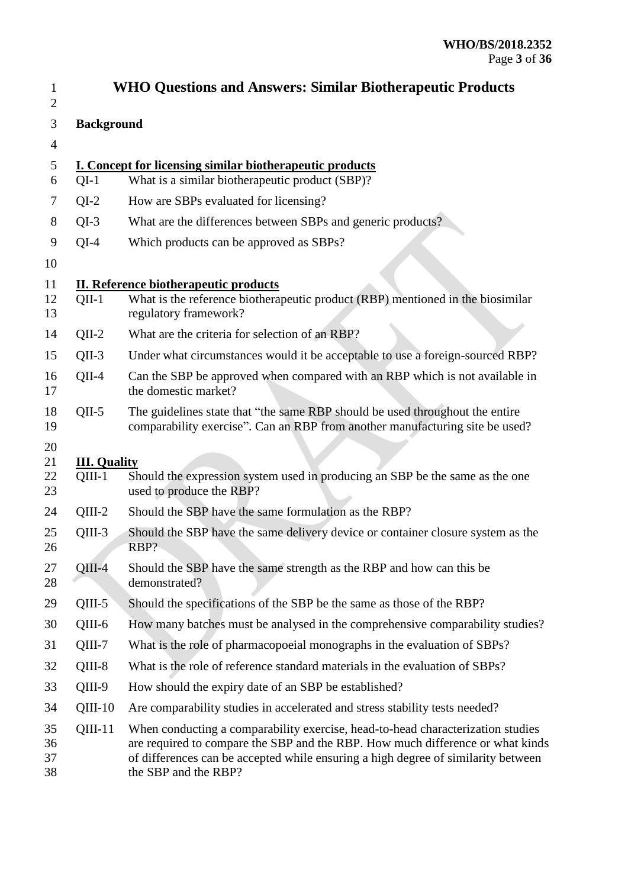| 1<br>$\overline{2}$  |                                 | <b>WHO Questions and Answers: Similar Biotherapeutic Products</b>                                                                                                                                                                                                              |  |  |
|----------------------|---------------------------------|--------------------------------------------------------------------------------------------------------------------------------------------------------------------------------------------------------------------------------------------------------------------------------|--|--|
| 3                    | <b>Background</b>               |                                                                                                                                                                                                                                                                                |  |  |
| $\overline{4}$       |                                 |                                                                                                                                                                                                                                                                                |  |  |
| 5<br>6               | $QI-1$                          | <b>I. Concept for licensing similar biotherapeutic products</b><br>What is a similar biotherapeutic product (SBP)?                                                                                                                                                             |  |  |
| 7                    | $QI-2$                          | How are SBPs evaluated for licensing?                                                                                                                                                                                                                                          |  |  |
| 8                    | $QI-3$                          | What are the differences between SBPs and generic products?                                                                                                                                                                                                                    |  |  |
| 9                    | $QI-4$                          | Which products can be approved as SBPs?                                                                                                                                                                                                                                        |  |  |
| 10                   |                                 |                                                                                                                                                                                                                                                                                |  |  |
| 11<br>12<br>13       | $QII-1$                         | <b>II. Reference biotherapeutic products</b><br>What is the reference biotherapeutic product (RBP) mentioned in the biosimilar<br>regulatory framework?                                                                                                                        |  |  |
| 14                   | $QII-2$                         | What are the criteria for selection of an RBP?                                                                                                                                                                                                                                 |  |  |
| 15                   | $QII-3$                         | Under what circumstances would it be acceptable to use a foreign-sourced RBP?                                                                                                                                                                                                  |  |  |
| 16<br>17             | $QII-4$                         | Can the SBP be approved when compared with an RBP which is not available in<br>the domestic market?                                                                                                                                                                            |  |  |
| 18<br>19             | $QII-5$                         | The guidelines state that "the same RBP should be used throughout the entire<br>comparability exercise". Can an RBP from another manufacturing site be used?                                                                                                                   |  |  |
| 20<br>21<br>22<br>23 | <b>III. Quality</b><br>$QIII-1$ | Should the expression system used in producing an SBP be the same as the one<br>used to produce the RBP?                                                                                                                                                                       |  |  |
| 24                   | $QIII-2$                        | Should the SBP have the same formulation as the RBP?                                                                                                                                                                                                                           |  |  |
| 25<br>26             | $QIII-3$                        | Should the SBP have the same delivery device or container closure system as the<br>RBP?                                                                                                                                                                                        |  |  |
| 27<br>28             | $QIII-4$                        | Should the SBP have the same strength as the RBP and how can this be<br>demonstrated?                                                                                                                                                                                          |  |  |
| 29                   | $QIII-5$                        | Should the specifications of the SBP be the same as those of the RBP?                                                                                                                                                                                                          |  |  |
| 30                   | QIII-6                          | How many batches must be analysed in the comprehensive comparability studies?                                                                                                                                                                                                  |  |  |
| 31                   | $QIII-7$                        | What is the role of pharmacopoeial monographs in the evaluation of SBPs?                                                                                                                                                                                                       |  |  |
| 32                   | QIII-8                          | What is the role of reference standard materials in the evaluation of SBPs?                                                                                                                                                                                                    |  |  |
| 33                   | $QIII-9$                        | How should the expiry date of an SBP be established?                                                                                                                                                                                                                           |  |  |
| 34                   | $QIII-10$                       | Are comparability studies in accelerated and stress stability tests needed?                                                                                                                                                                                                    |  |  |
| 35<br>36<br>37<br>38 | $QIII-11$                       | When conducting a comparability exercise, head-to-head characterization studies<br>are required to compare the SBP and the RBP. How much difference or what kinds<br>of differences can be accepted while ensuring a high degree of similarity between<br>the SBP and the RBP? |  |  |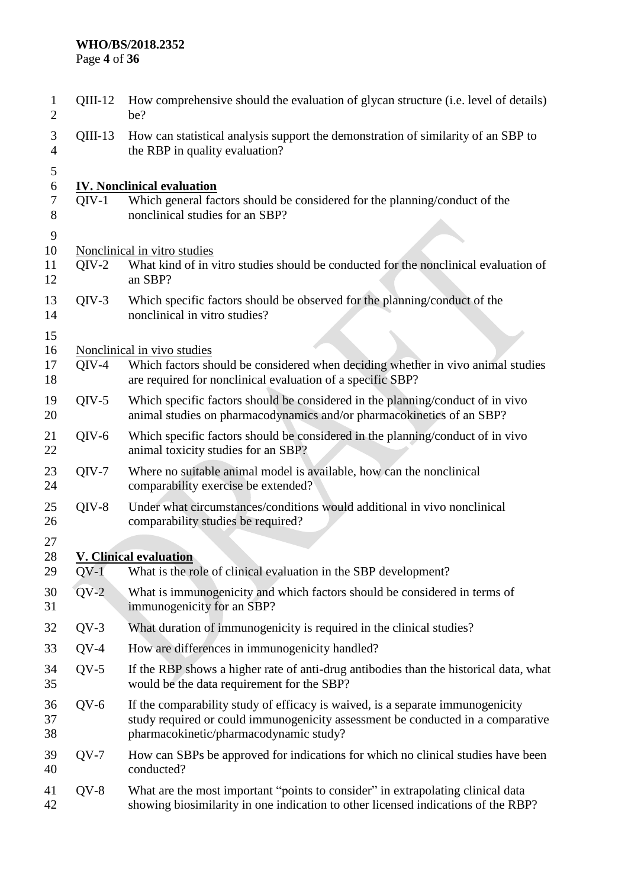### **WHO/BS/2018.2352**

Page **4** of **36**

| 1<br>$\overline{2}$  | $QIII-12$ | How comprehensive should the evaluation of glycan structure (i.e. level of details)<br>be?                                                                                                                  |
|----------------------|-----------|-------------------------------------------------------------------------------------------------------------------------------------------------------------------------------------------------------------|
| 3<br>$\overline{4}$  | $QIII-13$ | How can statistical analysis support the demonstration of similarity of an SBP to<br>the RBP in quality evaluation?                                                                                         |
| 5<br>6<br>7<br>8     | $OIV-1$   | <b>IV. Nonclinical evaluation</b><br>Which general factors should be considered for the planning/conduct of the<br>nonclinical studies for an SBP?                                                          |
| 9<br>10<br>11<br>12  | $QIV-2$   | Nonclinical in vitro studies<br>What kind of in vitro studies should be conducted for the nonclinical evaluation of<br>an SBP?                                                                              |
| 13<br>14             | $QIV-3$   | Which specific factors should be observed for the planning/conduct of the<br>nonclinical in vitro studies?                                                                                                  |
| 15<br>16<br>17<br>18 | $QIV-4$   | Nonclinical in vivo studies<br>Which factors should be considered when deciding whether in vivo animal studies<br>are required for nonclinical evaluation of a specific SBP?                                |
| 19<br>20             | $QIV-5$   | Which specific factors should be considered in the planning/conduct of in vivo<br>animal studies on pharmacodynamics and/or pharmacokinetics of an SBP?                                                     |
| 21<br>22             | $QIV-6$   | Which specific factors should be considered in the planning/conduct of in vivo<br>animal toxicity studies for an SBP?                                                                                       |
| 23<br>24             | $QIV-7$   | Where no suitable animal model is available, how can the nonclinical<br>comparability exercise be extended?                                                                                                 |
| 25<br>26             | $QIV-8$   | Under what circumstances/conditions would additional in vivo nonclinical<br>comparability studies be required?                                                                                              |
| 27                   |           |                                                                                                                                                                                                             |
| 28<br>29             | $QV-1$    | <b>V. Clinical evaluation</b><br>What is the role of clinical evaluation in the SBP development?                                                                                                            |
| 30<br>31             | $QV-2$    | What is immunogenicity and which factors should be considered in terms of<br>immunogenicity for an SBP?                                                                                                     |
| 32                   | $QV-3$    | What duration of immunogenicity is required in the clinical studies?                                                                                                                                        |
| 33                   | $QV-4$    | How are differences in immunogenicity handled?                                                                                                                                                              |
| 34<br>35             | $QV-5$    | If the RBP shows a higher rate of anti-drug antibodies than the historical data, what<br>would be the data requirement for the SBP?                                                                         |
| 36<br>37<br>38       | $QV-6$    | If the comparability study of efficacy is waived, is a separate immunogenicity<br>study required or could immunogenicity assessment be conducted in a comparative<br>pharmacokinetic/pharmacodynamic study? |
| 39<br>40             | $QV-7$    | How can SBPs be approved for indications for which no clinical studies have been<br>conducted?                                                                                                              |
| 41<br>42             | $QV-8$    | What are the most important "points to consider" in extrapolating clinical data<br>showing biosimilarity in one indication to other licensed indications of the RBP?                                        |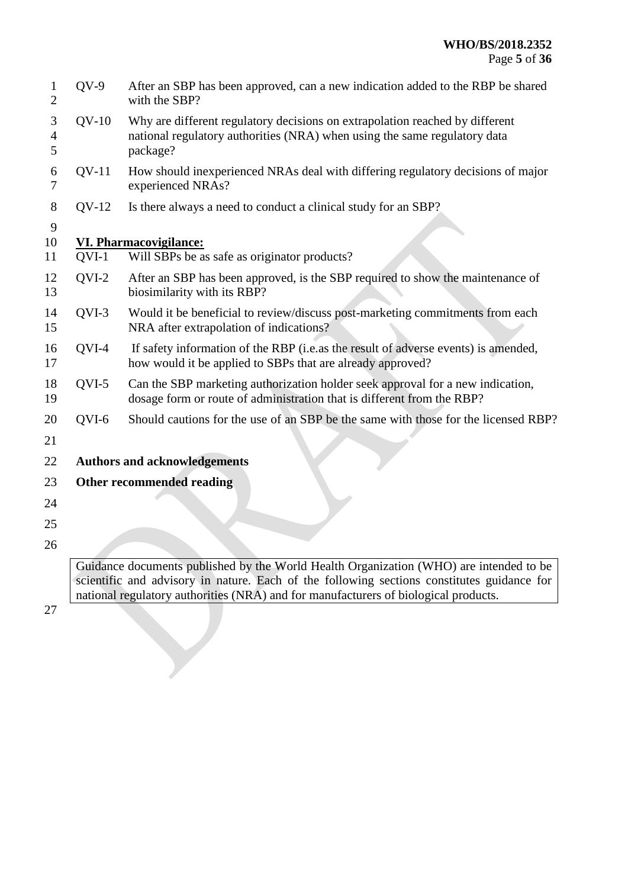| 1<br>$\overline{2}$      | $QV-9$                    | After an SBP has been approved, can a new indication added to the RBP be shared<br>with the SBP?                                                                      |  |
|--------------------------|---------------------------|-----------------------------------------------------------------------------------------------------------------------------------------------------------------------|--|
| 3<br>$\overline{4}$<br>5 | $QV-10$                   | Why are different regulatory decisions on extrapolation reached by different<br>national regulatory authorities (NRA) when using the same regulatory data<br>package? |  |
| 6<br>$\overline{7}$      | $QV-11$                   | How should inexperienced NRAs deal with differing regulatory decisions of major<br>experienced NRAs?                                                                  |  |
| 8                        | $QV-12$                   | Is there always a need to conduct a clinical study for an SBP?                                                                                                        |  |
| 9                        |                           |                                                                                                                                                                       |  |
| 10                       | VI. Pharmacovigilance:    |                                                                                                                                                                       |  |
| 11                       | QVI-1                     | Will SBPs be as safe as originator products?                                                                                                                          |  |
| 12<br>13                 | QVI-2                     | After an SBP has been approved, is the SBP required to show the maintenance of<br>biosimilarity with its RBP?                                                         |  |
| 14<br>15                 | QVI-3                     | Would it be beneficial to review/discuss post-marketing commitments from each<br>NRA after extrapolation of indications?                                              |  |
| 16<br>17                 | QVI-4                     | If safety information of the RBP (i.e.as the result of adverse events) is amended,<br>how would it be applied to SBPs that are already approved?                      |  |
| 18<br>19                 | QVI-5                     | Can the SBP marketing authorization holder seek approval for a new indication,<br>dosage form or route of administration that is different from the RBP?              |  |
| 20                       | QVI-6                     | Should cautions for the use of an SBP be the same with those for the licensed RBP?                                                                                    |  |
| 21                       |                           |                                                                                                                                                                       |  |
| 22                       |                           | <b>Authors and acknowledgements</b>                                                                                                                                   |  |
| 23                       | Other recommended reading |                                                                                                                                                                       |  |
| 24                       |                           |                                                                                                                                                                       |  |
| 25                       |                           |                                                                                                                                                                       |  |
| 26                       |                           |                                                                                                                                                                       |  |

Guidance documents published by the World Health Organization (WHO) are intended to be scientific and advisory in nature. Each of the following sections constitutes guidance for national regulatory authorities (NRA) and for manufacturers of biological products.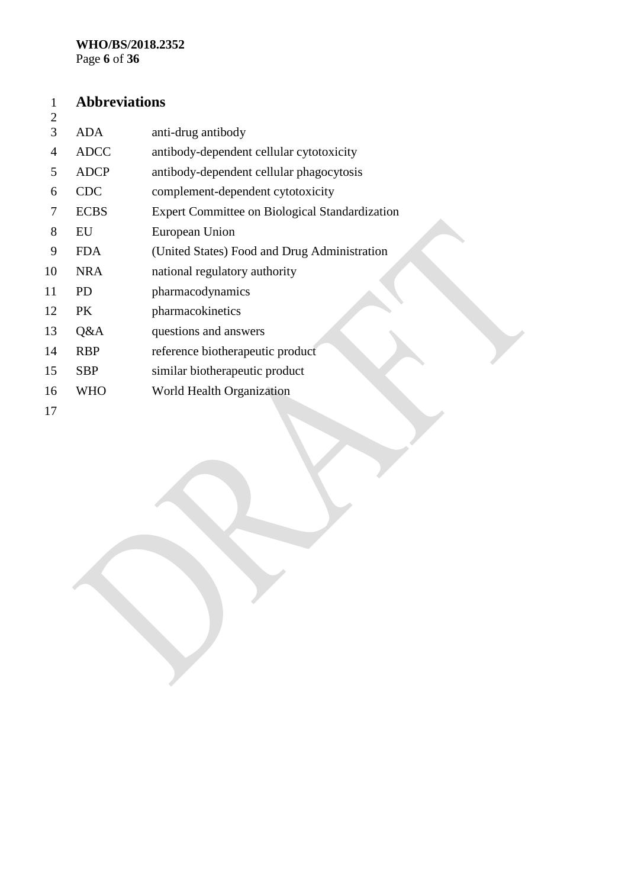#### **Abbreviations**  $\frac{1}{2}$

| ⊷  |             |                                                       |
|----|-------------|-------------------------------------------------------|
| 3  | <b>ADA</b>  | anti-drug antibody                                    |
| 4  | <b>ADCC</b> | antibody-dependent cellular cytotoxicity              |
| 5  | <b>ADCP</b> | antibody-dependent cellular phagocytosis              |
| 6  | <b>CDC</b>  | complement-dependent cytotoxicity                     |
| 7  | <b>ECBS</b> | <b>Expert Committee on Biological Standardization</b> |
| 8  | EU          | European Union                                        |
| 9  | <b>FDA</b>  | (United States) Food and Drug Administration          |
| 10 | <b>NRA</b>  | national regulatory authority                         |
| 11 | <b>PD</b>   | pharmacodynamics                                      |
| 12 | PK          | pharmacokinetics                                      |
| 13 | Q&A         | questions and answers                                 |
| 14 | <b>RBP</b>  | reference biotherapeutic product                      |
| 15 | <b>SBP</b>  | similar biotherapeutic product                        |
| 16 | <b>WHO</b>  | World Health Organization                             |
| 17 |             |                                                       |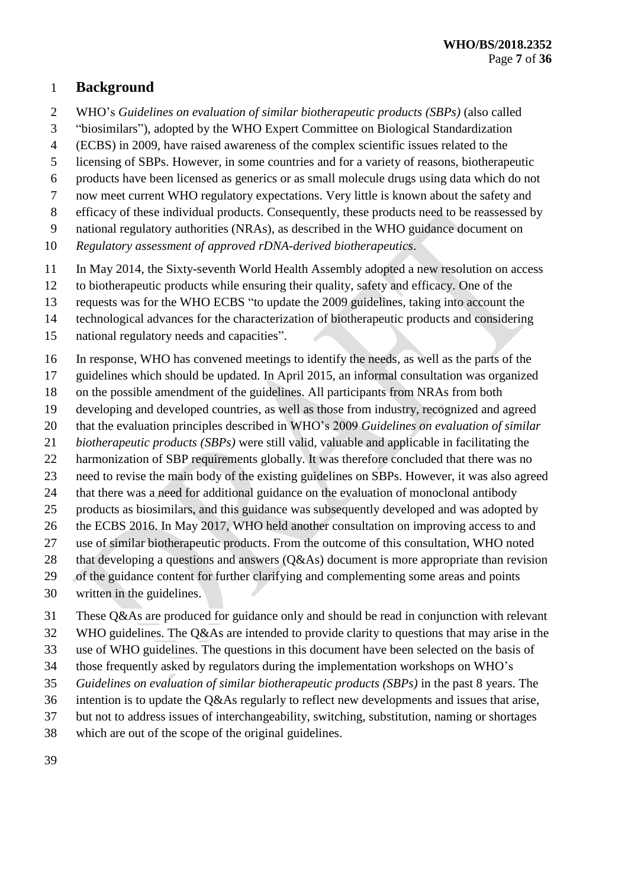## **Background**

- WHO's *Guidelines on evaluation of similar biotherapeutic products (SBPs)* (also called
- "biosimilars"), adopted by the WHO Expert Committee on Biological Standardization
- (ECBS) in 2009, have raised awareness of the complex scientific issues related to the
- licensing of SBPs. However, in some countries and for a variety of reasons, biotherapeutic
- products have been licensed as generics or as small molecule drugs using data which do not
- now meet current WHO regulatory expectations. Very little is known about the safety and
- efficacy of these individual products. Consequently, these products need to be reassessed by
- national regulatory authorities (NRAs), as described in the WHO guidance document on
- *Regulatory assessment of approved rDNA-derived biotherapeutics*.
- In May 2014, the Sixty-seventh World Health Assembly adopted a new resolution on access
- to biotherapeutic products while ensuring their quality, safety and efficacy. One of the
- requests was for the WHO ECBS "to update the 2009 guidelines, taking into account the
- technological advances for the characterization of biotherapeutic products and considering
- national regulatory needs and capacities".
- In response, WHO has convened meetings to identify the needs, as well as the parts of the
- guidelines which should be updated. In April 2015, an informal consultation was organized
- on the possible amendment of the guidelines. All participants from NRAs from both
- developing and developed countries, as well as those from industry, recognized and agreed
- that the evaluation principles described in WHO's 2009 *Guidelines on evaluation of similar*
- *biotherapeutic products (SBPs)* were still valid, valuable and applicable in facilitating the
- 22 harmonization of SBP requirements globally. It was therefore concluded that there was no
- need to revise the main body of the existing guidelines on SBPs. However, it was also agreed
- that there was a need for additional guidance on the evaluation of monoclonal antibody
- products as biosimilars, and this guidance was subsequently developed and was adopted by
- the ECBS 2016. In May 2017, WHO held another consultation on improving access to and
- use of similar biotherapeutic products. From the outcome of this consultation, WHO noted
- 28 that developing a questions and answers (O&As) document is more appropriate than revision
- of the guidance content for further clarifying and complementing some areas and points
- written in the guidelines.
- These Q&As are produced for guidance only and should be read in conjunction with relevant
- WHO guidelines. The Q&As are intended to provide clarity to questions that may arise in the
- use of WHO guidelines. The questions in this document have been selected on the basis of
- those frequently asked by regulators during the implementation workshops on WHO's
- *Guidelines on evaluation of similar biotherapeutic products (SBPs)* in the past 8 years. The
- intention is to update the Q&As regularly to reflect new developments and issues that arise,
- but not to address issues of interchangeability, switching, substitution, naming or shortages
- which are out of the scope of the original guidelines.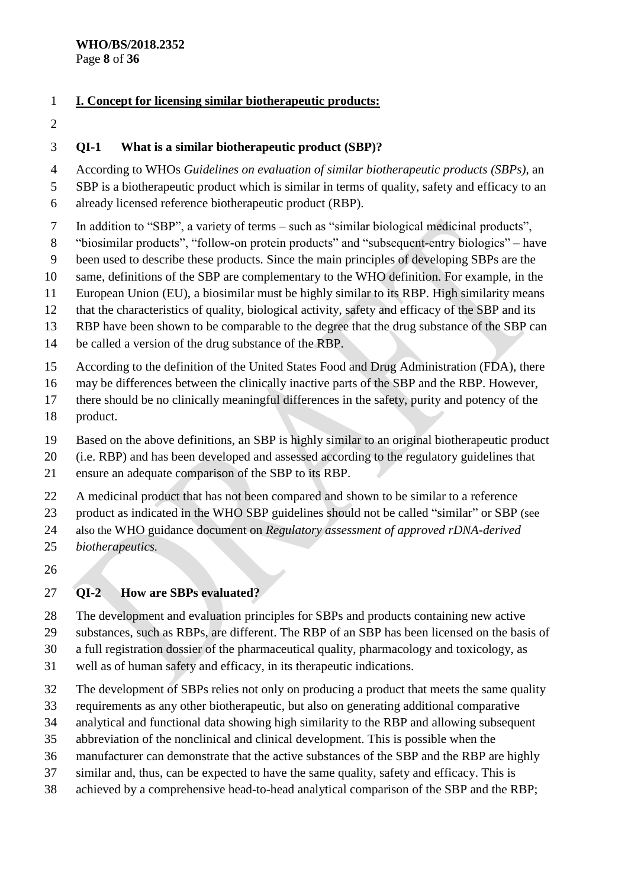### **I. Concept for licensing similar biotherapeutic products:**

## **QI-1 What is a similar biotherapeutic product (SBP)?**

According to WHOs *Guidelines on evaluation of similar biotherapeutic products (SBPs)*, an

- SBP is a biotherapeutic product which is similar in terms of quality, safety and efficacy to an
- already licensed reference biotherapeutic product (RBP).
- In addition to "SBP", a variety of terms such as "similar biological medicinal products",
- "biosimilar products", "follow-on protein products" and "subsequent-entry biologics" have
- been used to describe these products. Since the main principles of developing SBPs are the
- same, definitions of the SBP are complementary to the WHO definition. For example, in the
- European Union (EU), a biosimilar must be highly similar to its RBP. High similarity means
- that the characteristics of quality, biological activity, safety and efficacy of the SBP and its
- RBP have been shown to be comparable to the degree that the drug substance of the SBP can
- be called a version of the drug substance of the RBP.
- According to the definition of the United States Food and Drug Administration (FDA), there
- may be differences between the clinically inactive parts of the SBP and the RBP. However,
- there should be no clinically meaningful differences in the safety, purity and potency of the
- product.
- Based on the above definitions, an SBP is highly similar to an original biotherapeutic product
- (i.e. RBP) and has been developed and assessed according to the regulatory guidelines that
- ensure an adequate comparison of the SBP to its RBP.
- A medicinal product that has not been compared and shown to be similar to a reference
- product as indicated in the WHO SBP guidelines should not be called "similar" or SBP (see
- also the WHO guidance document on *Regulatory assessment of approved rDNA-derived*
- *biotherapeutics.*
- 

## **QI-2 How are SBPs evaluated?**

- The development and evaluation principles for SBPs and products containing new active substances, such as RBPs, are different. The RBP of an SBP has been licensed on the basis of
- a full registration dossier of the pharmaceutical quality, pharmacology and toxicology, as
- well as of human safety and efficacy, in its therapeutic indications.
- The development of SBPs relies not only on producing a product that meets the same quality
- requirements as any other biotherapeutic, but also on generating additional comparative
- analytical and functional data showing high similarity to the RBP and allowing subsequent
- abbreviation of the nonclinical and clinical development. This is possible when the
- manufacturer can demonstrate that the active substances of the SBP and the RBP are highly
- similar and, thus, can be expected to have the same quality, safety and efficacy. This is
- achieved by a comprehensive head-to-head analytical comparison of the SBP and the RBP;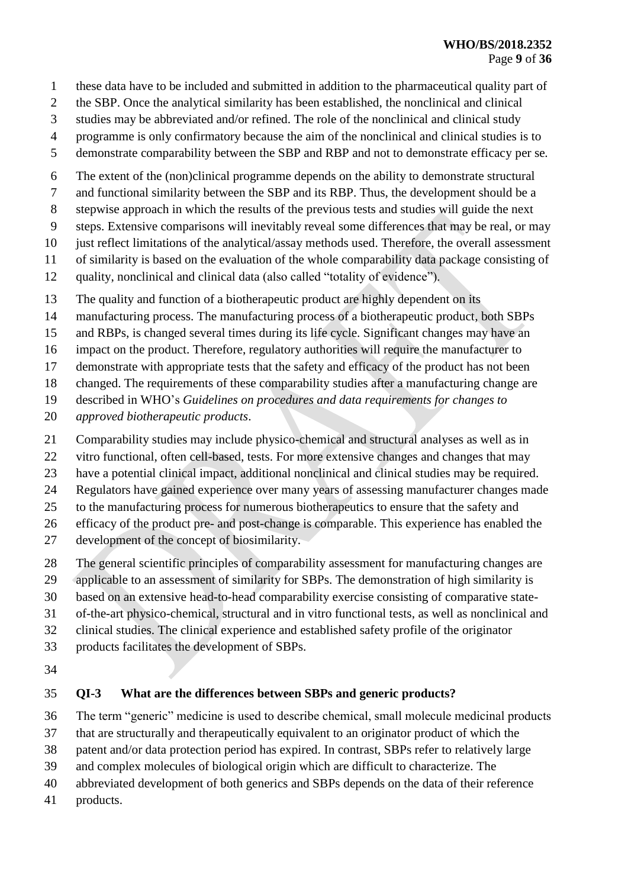- these data have to be included and submitted in addition to the pharmaceutical quality part of
- the SBP. Once the analytical similarity has been established, the nonclinical and clinical
- studies may be abbreviated and/or refined. The role of the nonclinical and clinical study
- programme is only confirmatory because the aim of the nonclinical and clinical studies is to
- demonstrate comparability between the SBP and RBP and not to demonstrate efficacy per se*.*
- The extent of the (non)clinical programme depends on the ability to demonstrate structural
- and functional similarity between the SBP and its RBP. Thus, the development should be a
- stepwise approach in which the results of the previous tests and studies will guide the next
- steps. Extensive comparisons will inevitably reveal some differences that may be real, or may
- just reflect limitations of the analytical/assay methods used. Therefore, the overall assessment
- of similarity is based on the evaluation of the whole comparability data package consisting of
- quality, nonclinical and clinical data (also called "totality of evidence").
- The quality and function of a biotherapeutic product are highly dependent on its
- manufacturing process. The manufacturing process of a biotherapeutic product, both SBPs
- and RBPs, is changed several times during its life cycle. Significant changes may have an
- impact on the product. Therefore, regulatory authorities will require the manufacturer to
- demonstrate with appropriate tests that the safety and efficacy of the product has not been
- changed. The requirements of these comparability studies after a manufacturing change are
- described in WHO's *Guidelines on procedures and data requirements for changes to*
- *approved biotherapeutic products*.
- Comparability studies may include physico-chemical and structural analyses as well as in
- vitro functional, often cell-based, tests. For more extensive changes and changes that may
- have a potential clinical impact, additional nonclinical and clinical studies may be required.
- Regulators have gained experience over many years of assessing manufacturer changes made
- to the manufacturing process for numerous biotherapeutics to ensure that the safety and
- efficacy of the product pre- and post-change is comparable. This experience has enabled the
- development of the concept of biosimilarity.
- The general scientific principles of comparability assessment for manufacturing changes are
- applicable to an assessment of similarity for SBPs. The demonstration of high similarity is
- based on an extensive head-to-head comparability exercise consisting of comparative state-
- of-the-art physico-chemical, structural and in vitro functional tests, as well as nonclinical and
- clinical studies. The clinical experience and established safety profile of the originator
- products facilitates the development of SBPs.
- 

## **QI-3 What are the differences between SBPs and generic products?**

- The term "generic" medicine is used to describe chemical, small molecule medicinal products
- that are structurally and therapeutically equivalent to an originator product of which the
- patent and/or data protection period has expired. In contrast, SBPs refer to relatively large
- and complex molecules of biological origin which are difficult to characterize. The
- abbreviated development of both generics and SBPs depends on the data of their reference
- products.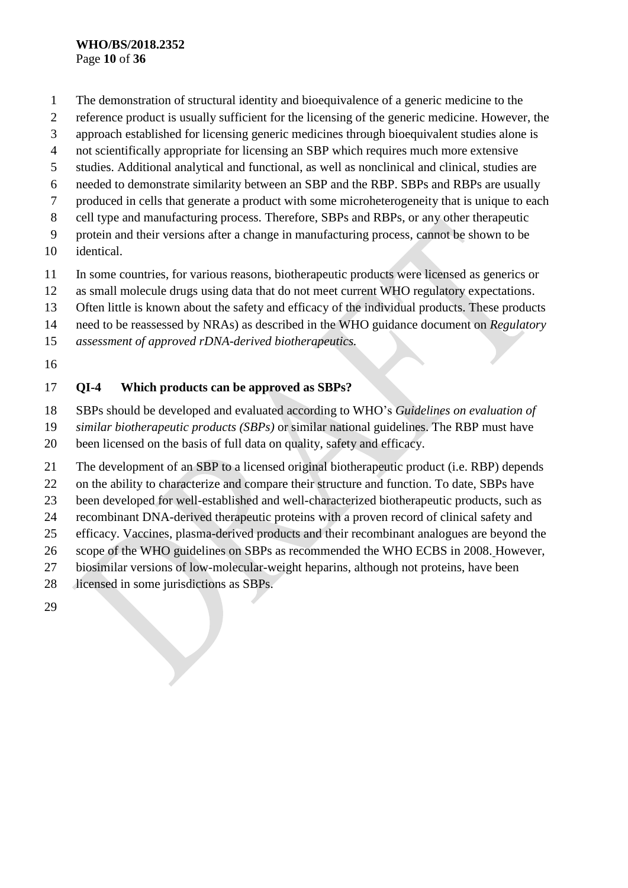#### **WHO/BS/2018.2352** Page **10** of **36**

- The demonstration of structural identity and bioequivalence of a generic medicine to the
- reference product is usually sufficient for the licensing of the generic medicine. However, the
- approach established for licensing generic medicines through bioequivalent studies alone is
- not scientifically appropriate for licensing an SBP which requires much more extensive
- studies. Additional analytical and functional, as well as nonclinical and clinical, studies are
- needed to demonstrate similarity between an SBP and the RBP. SBPs and RBPs are usually
- produced in cells that generate a product with some microheterogeneity that is unique to each
- cell type and manufacturing process. Therefore, SBPs and RBPs, or any other therapeutic
- protein and their versions after a change in manufacturing process, cannot be shown to be
- identical.
- In some countries, for various reasons, biotherapeutic products were licensed as generics or
- as small molecule drugs using data that do not meet current WHO regulatory expectations.
- Often little is known about the safety and efficacy of the individual products. These products
- need to be reassessed by NRAs) as described in the WHO guidance document on *Regulatory*
- *assessment of approved rDNA-derived biotherapeutics.*
- 

## **QI-4 Which products can be approved as SBPs?**

- SBPs should be developed and evaluated according to WHO's *Guidelines on evaluation of*
- *similar biotherapeutic products (SBPs)* or similar national guidelines. The RBP must have
- been licensed on the basis of full data on quality, safety and efficacy.
- The development of an SBP to a licensed original biotherapeutic product (i.e. RBP) depends
- on the ability to characterize and compare their structure and function. To date, SBPs have
- been developed for well-established and well-characterized biotherapeutic products, such as
- recombinant DNA-derived therapeutic proteins with a proven record of clinical safety and
- efficacy. Vaccines, plasma-derived products and their recombinant analogues are beyond the
- scope of the WHO guidelines on SBPs as recommended the WHO ECBS in 2008. However,
- biosimilar versions of low-molecular-weight heparins, although not proteins, have been
- licensed in some jurisdictions as SBPs.
-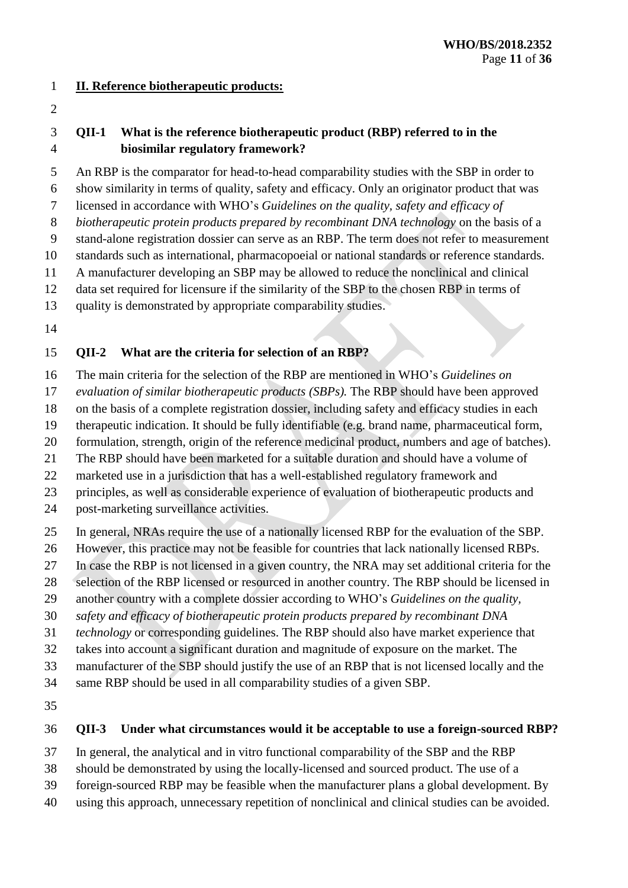#### **II. Reference biotherapeutic products:**

### **QII-1 What is the reference biotherapeutic product (RBP) referred to in the biosimilar regulatory framework?**

 An RBP is the comparator for head-to-head comparability studies with the SBP in order to show similarity in terms of quality, safety and efficacy. Only an originator product that was

licensed in accordance with WHO's *Guidelines on the quality, safety and efficacy of* 

*biotherapeutic protein products prepared by recombinant DNA technology* on the basis of a

stand-alone registration dossier can serve as an RBP. The term does not refer to measurement

standards such as international, pharmacopoeial or national standards or reference standards.

A manufacturer developing an SBP may be allowed to reduce the nonclinical and clinical

data set required for licensure if the similarity of the SBP to the chosen RBP in terms of

quality is demonstrated by appropriate comparability studies.

## **QII-2 What are the criteria for selection of an RBP?**

The main criteria for the selection of the RBP are mentioned in WHO's *Guidelines on* 

*evaluation of similar biotherapeutic products (SBPs).* The RBP should have been approved

on the basis of a complete registration dossier, including safety and efficacy studies in each

therapeutic indication. It should be fully identifiable (e.g. brand name, pharmaceutical form,

formulation, strength, origin of the reference medicinal product, numbers and age of batches).

The RBP should have been marketed for a suitable duration and should have a volume of

marketed use in a jurisdiction that has a well-established regulatory framework and

principles, as well as considerable experience of evaluation of biotherapeutic products and

post-marketing surveillance activities.

In general, NRAs require the use of a nationally licensed RBP for the evaluation of the SBP.

However, this practice may not be feasible for countries that lack nationally licensed RBPs.

In case the RBP is not licensed in a given country, the NRA may set additional criteria for the

selection of the RBP licensed or resourced in another country. The RBP should be licensed in

another country with a complete dossier according to WHO's *Guidelines on the quality,* 

*safety and efficacy of biotherapeutic protein products prepared by recombinant DNA* 

*technology* or corresponding guidelines. The RBP should also have market experience that

takes into account a significant duration and magnitude of exposure on the market. The

manufacturer of the SBP should justify the use of an RBP that is not licensed locally and the

same RBP should be used in all comparability studies of a given SBP.

## **QII-3 Under what circumstances would it be acceptable to use a foreign-sourced RBP?**

In general, the analytical and in vitro functional comparability of the SBP and the RBP

should be demonstrated by using the locally-licensed and sourced product. The use of a

foreign-sourced RBP may be feasible when the manufacturer plans a global development. By

using this approach, unnecessary repetition of nonclinical and clinical studies can be avoided.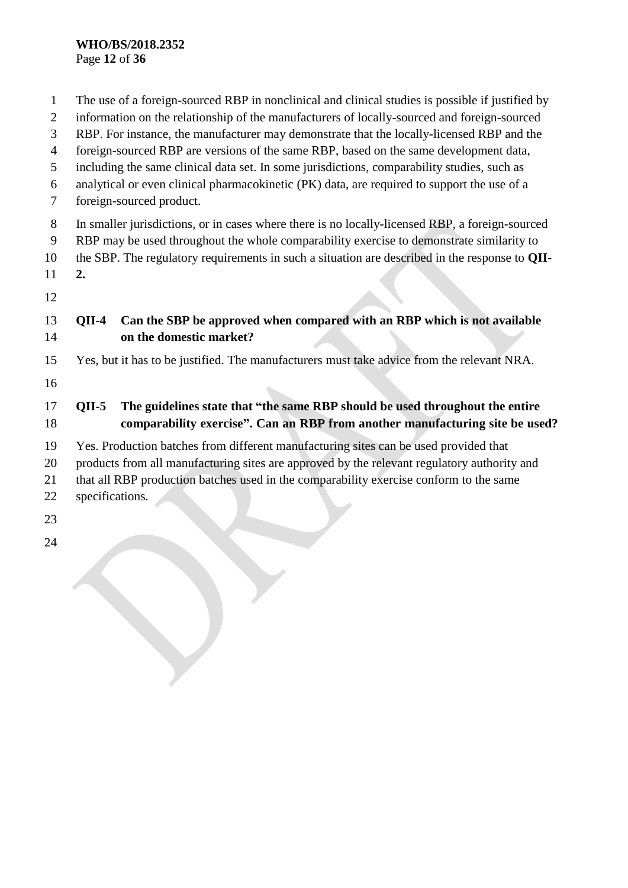#### **WHO/BS/2018.2352** Page **12** of **36**

 The use of a foreign-sourced RBP in nonclinical and clinical studies is possible if justified by information on the relationship of the manufacturers of locally-sourced and foreign-sourced RBP. For instance, the manufacturer may demonstrate that the locally-licensed RBP and the foreign-sourced RBP are versions of the same RBP, based on the same development data, including the same clinical data set. In some jurisdictions, comparability studies, such as analytical or even clinical pharmacokinetic (PK) data, are required to support the use of a foreign-sourced product. In smaller jurisdictions, or in cases where there is no locally-licensed RBP, a foreign-sourced RBP may be used throughout the whole comparability exercise to demonstrate similarity to the SBP. The regulatory requirements in such a situation are described in the response to **QII- 2. QII-4 Can the SBP be approved when compared with an RBP which is not available on the domestic market?** Yes, but it has to be justified. The manufacturers must take advice from the relevant NRA. **QII-5 The guidelines state that "the same RBP should be used throughout the entire comparability exercise". Can an RBP from another manufacturing site be used?** Yes. Production batches from different manufacturing sites can be used provided that products from all manufacturing sites are approved by the relevant regulatory authority and that all RBP production batches used in the comparability exercise conform to the same specifications.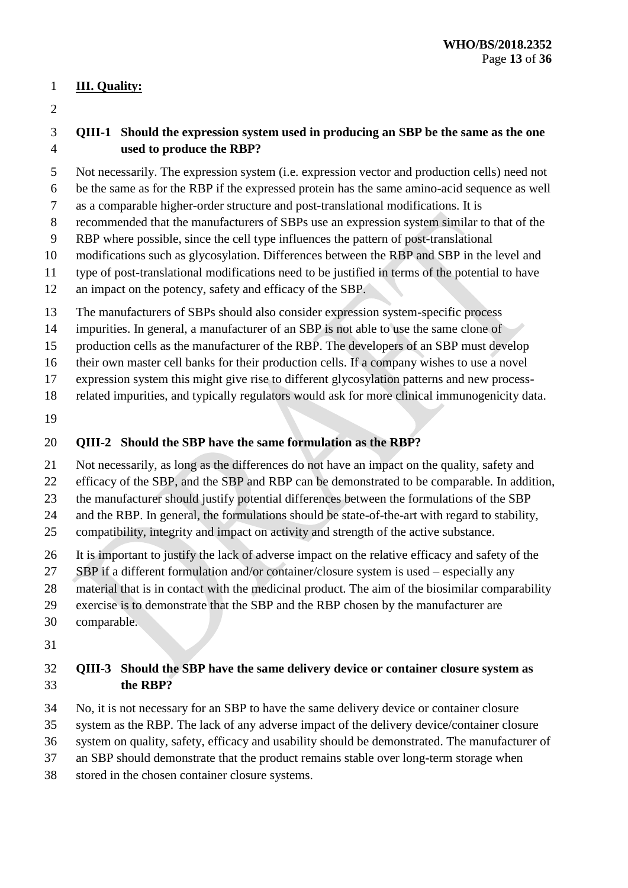### **III. Quality:**

### **QIII-1 Should the expression system used in producing an SBP be the same as the one used to produce the RBP?**

- Not necessarily. The expression system (i.e. expression vector and production cells) need not
- be the same as for the RBP if the expressed protein has the same amino-acid sequence as well as a comparable higher-order structure and post-translational modifications. It is
- recommended that the manufacturers of SBPs use an expression system similar to that of the
- RBP where possible, since the cell type influences the pattern of post-translational
- modifications such as glycosylation. Differences between the RBP and SBP in the level and
- type of post-translational modifications need to be justified in terms of the potential to have
- an impact on the potency, safety and efficacy of the SBP.
- The manufacturers of SBPs should also consider expression system-specific process
- impurities. In general, a manufacturer of an SBP is not able to use the same clone of
- production cells as the manufacturer of the RBP. The developers of an SBP must develop
- their own master cell banks for their production cells. If a company wishes to use a novel
- expression system this might give rise to different glycosylation patterns and new process-
- related impurities, and typically regulators would ask for more clinical immunogenicity data.
- 

## **QIII-2 Should the SBP have the same formulation as the RBP?**

- Not necessarily, as long as the differences do not have an impact on the quality, safety and
- efficacy of the SBP, and the SBP and RBP can be demonstrated to be comparable. In addition,
- the manufacturer should justify potential differences between the formulations of the SBP
- and the RBP. In general, the formulations should be state-of-the-art with regard to stability,
- compatibility, integrity and impact on activity and strength of the active substance.
- It is important to justify the lack of adverse impact on the relative efficacy and safety of the
- SBP if a different formulation and/or container/closure system is used especially any
- material that is in contact with the medicinal product. The aim of the biosimilar comparability
- exercise is to demonstrate that the SBP and the RBP chosen by the manufacturer are
- comparable.
- 

## **QIII-3 Should the SBP have the same delivery device or container closure system as the RBP?**

- No, it is not necessary for an SBP to have the same delivery device or container closure
- system as the RBP. The lack of any adverse impact of the delivery device/container closure
- system on quality, safety, efficacy and usability should be demonstrated. The manufacturer of
- an SBP should demonstrate that the product remains stable over long-term storage when
- stored in the chosen container closure systems.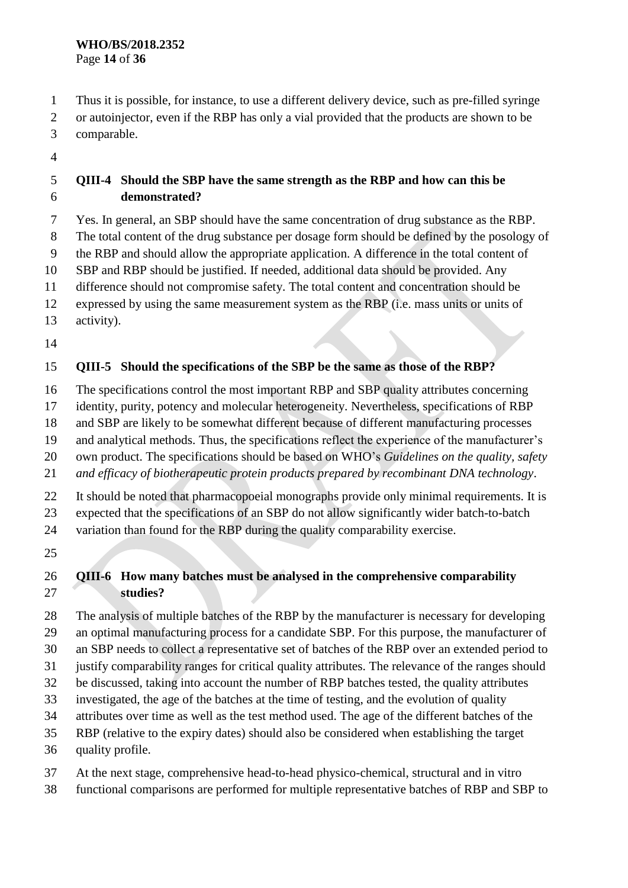Thus it is possible, for instance, to use a different delivery device, such as pre-filled syringe or autoinjector, even if the RBP has only a vial provided that the products are shown to be comparable.

## **QIII-4 Should the SBP have the same strength as the RBP and how can this be demonstrated?**

Yes. In general, an SBP should have the same concentration of drug substance as the RBP.

The total content of the drug substance per dosage form should be defined by the posology of

the RBP and should allow the appropriate application. A difference in the total content of

SBP and RBP should be justified. If needed, additional data should be provided. Any

difference should not compromise safety. The total content and concentration should be

expressed by using the same measurement system as the RBP (i.e. mass units or units of

activity).

## **QIII-5 Should the specifications of the SBP be the same as those of the RBP?**

The specifications control the most important RBP and SBP quality attributes concerning

identity, purity, potency and molecular heterogeneity. Nevertheless, specifications of RBP

and SBP are likely to be somewhat different because of different manufacturing processes

and analytical methods. Thus, the specifications reflect the experience of the manufacturer's

own product. The specifications should be based on WHO's *Guidelines on the quality, safety* 

*and efficacy of biotherapeutic protein products prepared by recombinant DNA technology*.

It should be noted that pharmacopoeial monographs provide only minimal requirements. It is

expected that the specifications of an SBP do not allow significantly wider batch-to-batch

variation than found for the RBP during the quality comparability exercise.

### **QIII-6 How many batches must be analysed in the comprehensive comparability studies?**

 The analysis of multiple batches of the RBP by the manufacturer is necessary for developing an optimal manufacturing process for a candidate SBP. For this purpose, the manufacturer of

an SBP needs to collect a representative set of batches of the RBP over an extended period to

justify comparability ranges for critical quality attributes. The relevance of the ranges should

be discussed, taking into account the number of RBP batches tested, the quality attributes

investigated, the age of the batches at the time of testing, and the evolution of quality

- attributes over time as well as the test method used. The age of the different batches of the
- RBP (relative to the expiry dates) should also be considered when establishing the target
- quality profile.
- At the next stage, comprehensive head-to-head physico-chemical, structural and in vitro
- functional comparisons are performed for multiple representative batches of RBP and SBP to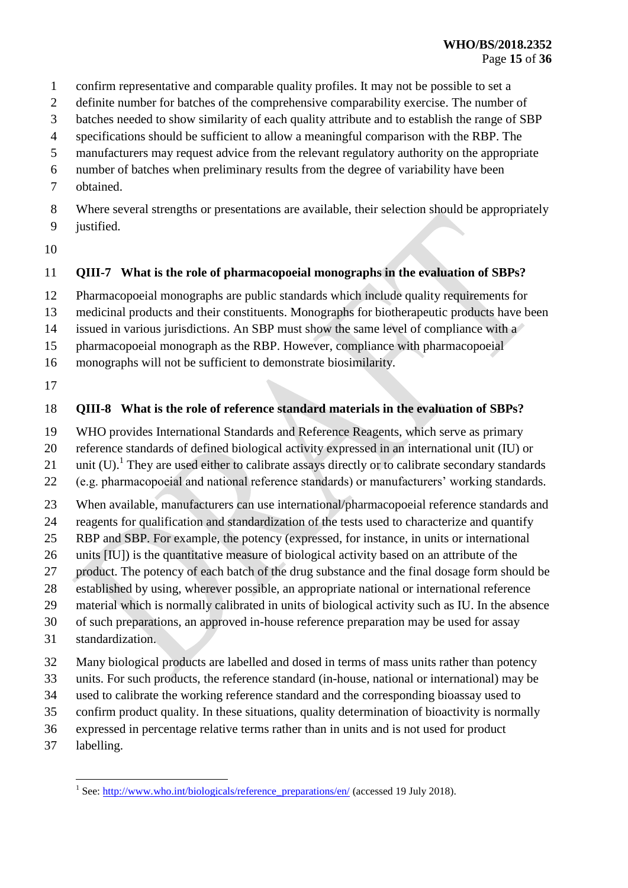- confirm representative and comparable quality profiles. It may not be possible to set a
- definite number for batches of the comprehensive comparability exercise. The number of
- batches needed to show similarity of each quality attribute and to establish the range of SBP
- specifications should be sufficient to allow a meaningful comparison with the RBP. The
- manufacturers may request advice from the relevant regulatory authority on the appropriate
- number of batches when preliminary results from the degree of variability have been
- obtained.
- Where several strengths or presentations are available, their selection should be appropriately justified.
- 

### **QIII-7 What is the role of pharmacopoeial monographs in the evaluation of SBPs?**

- Pharmacopoeial monographs are public standards which include quality requirements for
- medicinal products and their constituents. Monographs for biotherapeutic products have been
- issued in various jurisdictions. An SBP must show the same level of compliance with a
- pharmacopoeial monograph as the RBP. However, compliance with pharmacopoeial
- monographs will not be sufficient to demonstrate biosimilarity.
- 

### **QIII-8 What is the role of reference standard materials in the evaluation of SBPs?**

- WHO provides International Standards and Reference Reagents, which serve as primary
- reference standards of defined biological activity expressed in an international unit (IU) or
- 21 unit (U).<sup>1</sup> They are used either to calibrate assays directly or to calibrate secondary standards
- (e.g. pharmacopoeial and national reference standards) or manufacturers' working standards.
- When available, manufacturers can use international/pharmacopoeial reference standards and
- reagents for qualification and standardization of the tests used to characterize and quantify
- RBP and SBP. For example, the potency (expressed, for instance, in units or international
- units [IU]) is the quantitative measure of biological activity based on an attribute of the
- product. The potency of each batch of the drug substance and the final dosage form should be
- established by using, wherever possible, an appropriate national or international reference
- material which is normally calibrated in units of biological activity such as IU. In the absence
- of such preparations, an approved in-house reference preparation may be used for assay
- standardization.
- Many biological products are labelled and dosed in terms of mass units rather than potency
- units. For such products, the reference standard (in-house, national or international) may be
- used to calibrate the working reference standard and the corresponding bioassay used to
- confirm product quality. In these situations, quality determination of bioactivity is normally
- expressed in percentage relative terms rather than in units and is not used for product
- labelling.

<sup>1&</sup>lt;br><sup>1</sup> See: [http://www.who.int/biologicals/reference\\_preparations/en/](http://www.who.int/biologicals/reference_preparations/en/) (accessed 19 July 2018).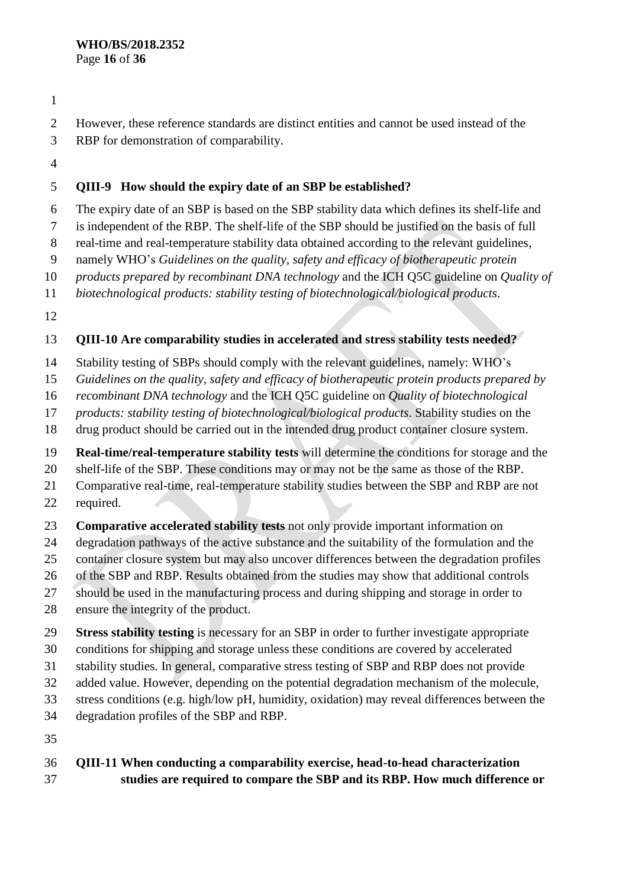- 
- However, these reference standards are distinct entities and cannot be used instead of the
- RBP for demonstration of comparability.
- 

## **QIII-9 How should the expiry date of an SBP be established?**

The expiry date of an SBP is based on the SBP stability data which defines its shelf-life and

is independent of the RBP. The shelf-life of the SBP should be justified on the basis of full

real-time and real-temperature stability data obtained according to the relevant guidelines,

namely WHO's *Guidelines on the quality, safety and efficacy of biotherapeutic protein* 

*products prepared by recombinant DNA technology* and the ICH Q5C guideline on *Quality of* 

*biotechnological products: stability testing of biotechnological/biological products*.

## **QIII-10 Are comparability studies in accelerated and stress stability tests needed?**

Stability testing of SBPs should comply with the relevant guidelines, namely: WHO's

*Guidelines on the quality, safety and efficacy of biotherapeutic protein products prepared by* 

*recombinant DNA technology* and the ICH Q5C guideline on *Quality of biotechnological* 

*products: stability testing of biotechnological/biological products*. Stability studies on the

drug product should be carried out in the intended drug product container closure system.

**Real-time/real-temperature stability tests** will determine the conditions for storage and the

shelf-life of the SBP. These conditions may or may not be the same as those of the RBP.

 Comparative real-time, real-temperature stability studies between the SBP and RBP are not required.

**Comparative accelerated stability tests** not only provide important information on

degradation pathways of the active substance and the suitability of the formulation and the

container closure system but may also uncover differences between the degradation profiles

of the SBP and RBP. Results obtained from the studies may show that additional controls

should be used in the manufacturing process and during shipping and storage in order to

ensure the integrity of the product.

**Stress stability testing** is necessary for an SBP in order to further investigate appropriate

conditions for shipping and storage unless these conditions are covered by accelerated

stability studies. In general, comparative stress testing of SBP and RBP does not provide

added value. However, depending on the potential degradation mechanism of the molecule,

stress conditions (e.g. high/low pH, humidity, oxidation) may reveal differences between the

degradation profiles of the SBP and RBP.

## **QIII-11 When conducting a comparability exercise, head-to-head characterization studies are required to compare the SBP and its RBP. How much difference or**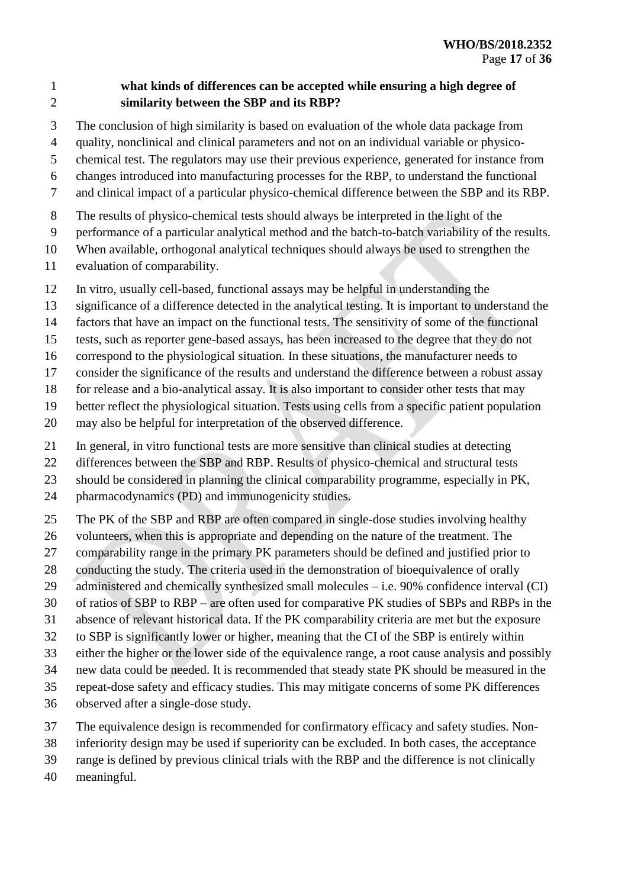## **what kinds of differences can be accepted while ensuring a high degree of similarity between the SBP and its RBP?**

- The conclusion of high similarity is based on evaluation of the whole data package from
- quality, nonclinical and clinical parameters and not on an individual variable or physico-
- chemical test. The regulators may use their previous experience, generated for instance from
- changes introduced into manufacturing processes for the RBP, to understand the functional
- and clinical impact of a particular physico-chemical difference between the SBP and its RBP.
- The results of physico-chemical tests should always be interpreted in the light of the
- performance of a particular analytical method and the batch-to-batch variability of the results.
- When available, orthogonal analytical techniques should always be used to strengthen the
- evaluation of comparability.
- In vitro, usually cell-based, functional assays may be helpful in understanding the
- significance of a difference detected in the analytical testing. It is important to understand the
- factors that have an impact on the functional tests. The sensitivity of some of the functional
- tests, such as reporter gene-based assays, has been increased to the degree that they do not
- correspond to the physiological situation. In these situations, the manufacturer needs to
- consider the significance of the results and understand the difference between a robust assay
- for release and a bio-analytical assay. It is also important to consider other tests that may
- better reflect the physiological situation. Tests using cells from a specific patient population
- may also be helpful for interpretation of the observed difference.
- In general, in vitro functional tests are more sensitive than clinical studies at detecting
- differences between the SBP and RBP. Results of physico-chemical and structural tests
- should be considered in planning the clinical comparability programme, especially in PK,
- pharmacodynamics (PD) and immunogenicity studies.
- The PK of the SBP and RBP are often compared in single-dose studies involving healthy
- volunteers, when this is appropriate and depending on the nature of the treatment. The
- 27 comparability range in the primary PK parameters should be defined and justified prior to
- conducting the study. The criteria used in the demonstration of bioequivalence of orally
- 29 administered and chemically synthesized small molecules i.e. 90% confidence interval (CI)
- of ratios of SBP to RBP are often used for comparative PK studies of SBPs and RBPs in the
- absence of relevant historical data. If the PK comparability criteria are met but the exposure
- to SBP is significantly lower or higher, meaning that the CI of the SBP is entirely within
- either the higher or the lower side of the equivalence range, a root cause analysis and possibly
- new data could be needed. It is recommended that steady state PK should be measured in the
- repeat-dose safety and efficacy studies. This may mitigate concerns of some PK differences
- observed after a single-dose study.
- The equivalence design is recommended for confirmatory efficacy and safety studies. Non-
- inferiority design may be used if superiority can be excluded. In both cases, the acceptance
- range is defined by previous clinical trials with the RBP and the difference is not clinically
- meaningful.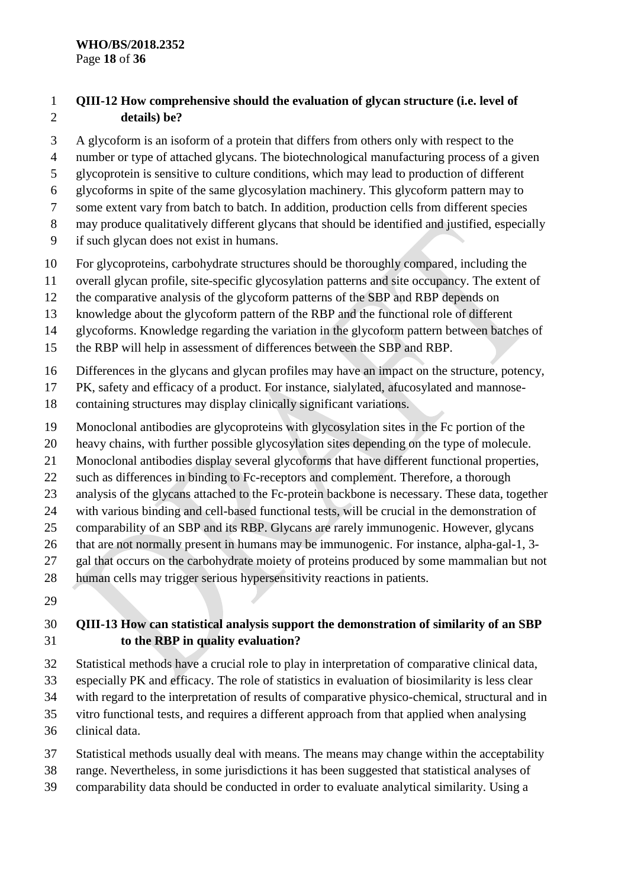#### **WHO/BS/2018.2352** Page **18** of **36**

### **QIII-12 How comprehensive should the evaluation of glycan structure (i.e. level of details) be?**

A glycoform is an isoform of a protein that differs from others only with respect to the

- number or type of attached [glycans](https://en.wikipedia.org/wiki/Glycan). The biotechnological manufacturing process of a given
- glycoprotein is sensitive to culture conditions, which may lead to production of different
- glycoforms in spite of the same glycosylation machinery. This glycoform pattern may to
- some extent vary from batch to batch. In addition, production cells from different species
- may produce qualitatively different glycans that should be identified and justified, especially
- if such glycan does not exist in humans.
- For glycoproteins, carbohydrate structures should be thoroughly compared, including the
- overall glycan profile, site-specific glycosylation patterns and site occupancy. The extent of
- the comparative analysis of the glycoform patterns of the SBP and RBP depends on
- knowledge about the glycoform pattern of the RBP and the functional role of different
- glycoforms. Knowledge regarding the variation in the glycoform pattern between batches of
- the RBP will help in assessment of differences between the SBP and RBP.
- Differences in the glycans and glycan profiles may have an impact on the structure, potency,
- PK, safety and efficacy of a product. For instance, sialylated, afucosylated and mannose-
- containing structures may display clinically significant variations.
- Monoclonal antibodies are glycoproteins with glycosylation sites in the Fc portion of the
- heavy chains, with further possible glycosylation sites depending on the type of molecule.
- Monoclonal antibodies display several glycoforms that have different functional properties,
- such as differences in binding to Fc-receptors and complement. Therefore, a thorough
- analysis of the glycans attached to the Fc-protein backbone is necessary. These data, together
- with various binding and cell-based functional tests, will be crucial in the demonstration of
- comparability of an SBP and its RBP. Glycans are rarely immunogenic. However, glycans
- that are not normally present in humans may be immunogenic. For instance, alpha-gal-1, 3-
- 27 gal that occurs on the carbohydrate moiety of proteins produced by some mammalian but not
- human cells may trigger serious hypersensitivity reactions in patients.
- 

## **QIII-13 How can statistical analysis support the demonstration of similarity of an SBP to the RBP in quality evaluation?**

- Statistical methods have a crucial role to play in interpretation of comparative clinical data,
- especially PK and efficacy. The role of statistics in evaluation of biosimilarity is less clear
- with regard to the interpretation of results of comparative physico-chemical, structural and in
- vitro functional tests, and requires a different approach from that applied when analysing
- clinical data.
- Statistical methods usually deal with means. The means may change within the acceptability
- range. Nevertheless, in some jurisdictions it has been suggested that statistical analyses of
- comparability data should be conducted in order to evaluate analytical similarity. Using a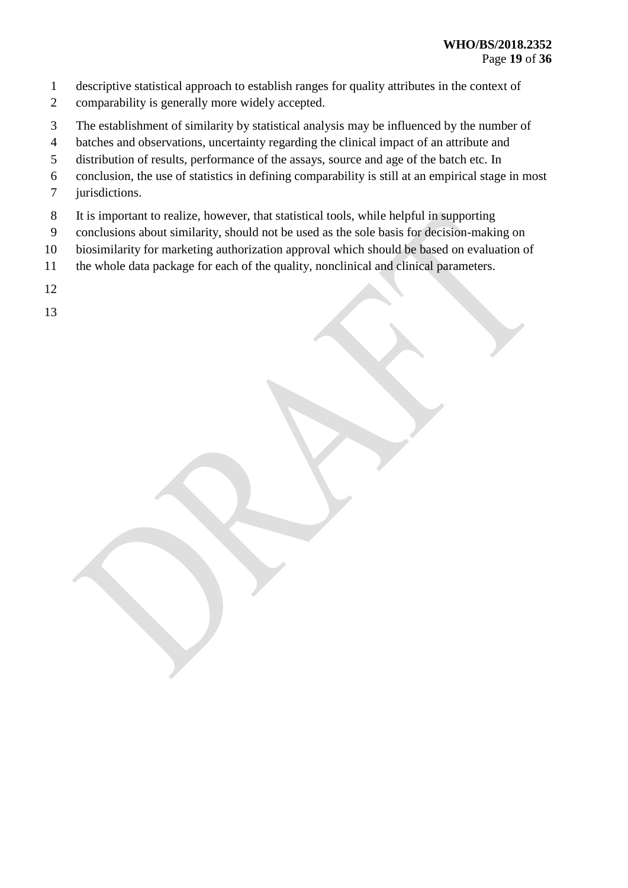- descriptive statistical approach to establish ranges for quality attributes in the context of
- comparability is generally more widely accepted.
- The establishment of similarity by statistical analysis may be influenced by the number of
- batches and observations, uncertainty regarding the clinical impact of an attribute and
- distribution of results, performance of the assays, source and age of the batch etc. In
- conclusion, the use of statistics in defining comparability is still at an empirical stage in most
- jurisdictions.
- It is important to realize, however, that statistical tools, while helpful in supporting
- conclusions about similarity, should not be used as the sole basis for decision-making on
- biosimilarity for marketing authorization approval which should be based on evaluation of
- the whole data package for each of the quality, nonclinical and clinical parameters.
-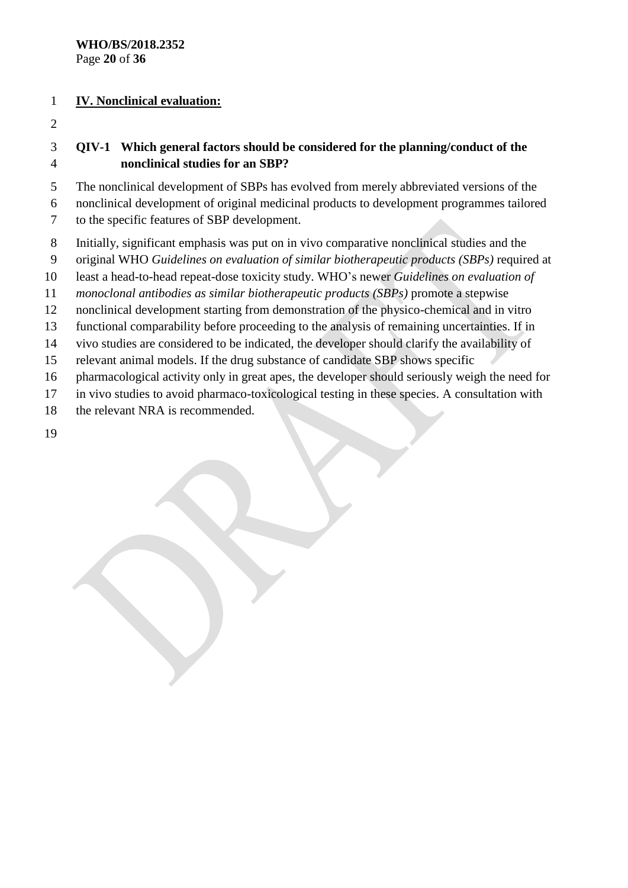#### **IV. Nonclinical evaluation:**

### **QIV-1 Which general factors should be considered for the planning/conduct of the nonclinical studies for an SBP?**

The nonclinical development of SBPs has evolved from merely abbreviated versions of the

 nonclinical development of original medicinal products to development programmes tailored to the specific features of SBP development.

- Initially, significant emphasis was put on in vivo comparative nonclinical studies and the
- original WHO *Guidelines on evaluation of similar biotherapeutic products (SBPs)* required at
- least a head-to-head repeat-dose toxicity study. WHO's newer *Guidelines on evaluation of*
- *monoclonal antibodies as similar biotherapeutic products (SBPs)* promote a stepwise
- nonclinical development starting from demonstration of the physico-chemical and in vitro
- functional comparability before proceeding to the analysis of remaining uncertainties. If in
- vivo studies are considered to be indicated, the developer should clarify the availability of
- relevant animal models. If the drug substance of candidate SBP shows specific
- pharmacological activity only in great apes, the developer should seriously weigh the need for
- in vivo studies to avoid pharmaco-toxicological testing in these species. A consultation with
- 18 the relevant NRA is recommended.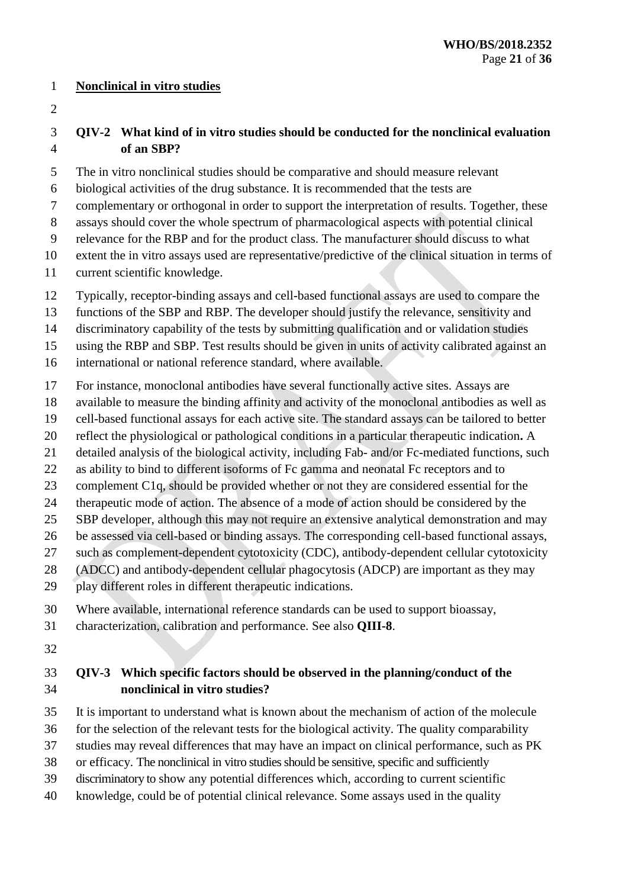#### **Nonclinical in vitro studies**

### **QIV-2 What kind of in vitro studies should be conducted for the nonclinical evaluation of an SBP?**

- The in vitro nonclinical studies should be comparative and should measure relevant
- biological activities of the drug substance. It is recommended that the tests are
- complementary or orthogonal in order to support the interpretation of results. Together, these
- assays should cover the whole spectrum of pharmacological aspects with potential clinical
- relevance for the RBP and for the product class. The manufacturer should discuss to what
- extent the in vitro assays used are representative/predictive of the clinical situation in terms of
- current scientific knowledge.
- Typically, receptor-binding assays and cell-based functional assays are used to compare the
- functions of the SBP and RBP. The developer should justify the relevance, sensitivity and
- discriminatory capability of the tests by submitting qualification and or validation studies
- using the RBP and SBP. Test results should be given in units of activity calibrated against an
- international or national reference standard, where available.
- For instance, monoclonal antibodies have several functionally active sites. Assays are
- available to measure the binding affinity and activity of the monoclonal antibodies as well as
- cell-based functional assays for each active site. The standard assays can be tailored to better
- reflect the physiological or pathological conditions in a particular therapeutic indication**.** A
- detailed analysis of the biological activity, including Fab- and/or Fc-mediated functions, such
- as ability to bind to different isoforms of Fc gamma and neonatal Fc receptors and to
- complement C1q, should be provided whether or not they are considered essential for the
- therapeutic mode of action. The absence of a mode of action should be considered by the
- SBP developer, although this may not require an extensive analytical demonstration and may
- be assessed via cell-based or binding assays. The corresponding cell-based functional assays,
- such as complement-dependent cytotoxicity (CDC), antibody-dependent cellular cytotoxicity
- (ADCC) and antibody-dependent cellular phagocytosis (ADCP) are important as they may
- play different roles in different therapeutic indications.
- Where available, international reference standards can be used to support bioassay,
- characterization, calibration and performance. See also **QIII-8**.
- 

### **QIV-3 Which specific factors should be observed in the planning/conduct of the nonclinical in vitro studies?**

- It is important to understand what is known about the mechanism of action of the molecule
- for the selection of the relevant tests for the biological activity. The quality comparability
- studies may reveal differences that may have an impact on clinical performance, such as PK
- or efficacy. The nonclinical in vitro studies should be sensitive, specific and sufficiently
- discriminatory to show any potential differences which, according to current scientific
- knowledge, could be of potential clinical relevance. Some assays used in the quality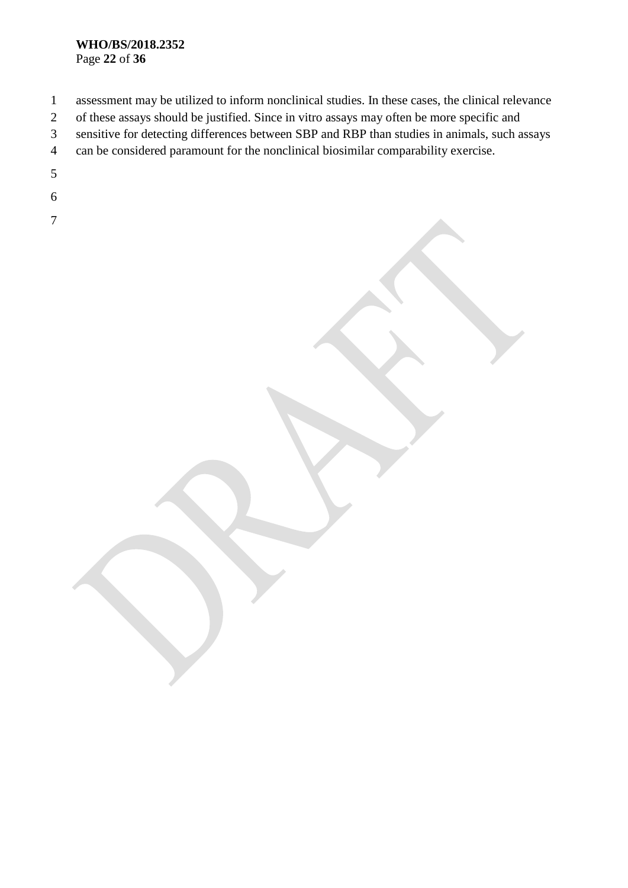#### **WHO/BS/2018.2352** Page **22** of **36**

- assessment may be utilized to inform nonclinical studies. In these cases, the clinical relevance of these assays should be justified. Since in vitro assays may often be more specific and sensitive for detecting differences between SBP and RBP than studies in animals, such assays can be considered paramount for the nonclinical biosimilar comparability exercise.
- 
-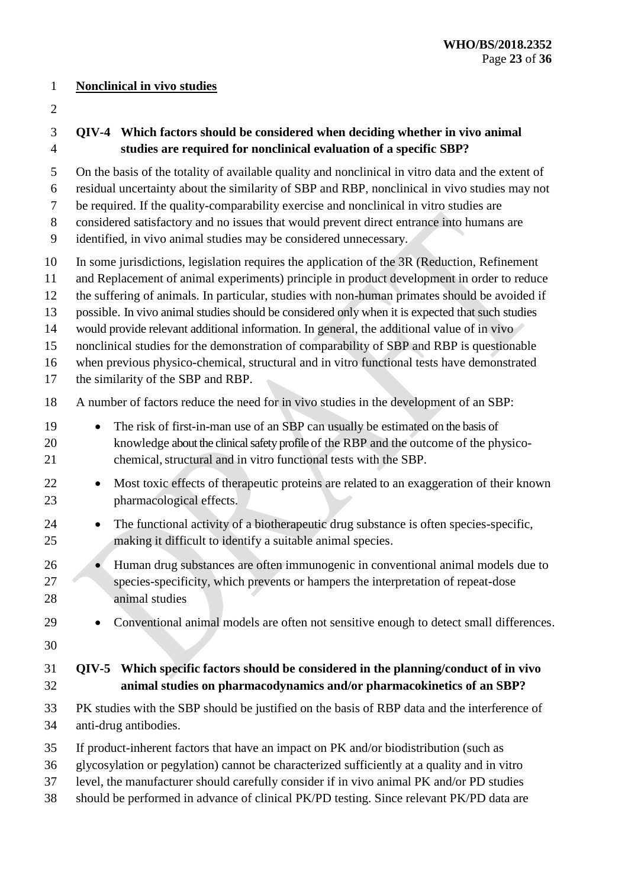#### **Nonclinical in vivo studies**

## **QIV-4 Which factors should be considered when deciding whether in vivo animal studies are required for nonclinical evaluation of a specific SBP?**

- On the basis of the totality of available quality and nonclinical in vitro data and the extent of
- residual uncertainty about the similarity of SBP and RBP, nonclinical in vivo studies may not
- be required. If the quality-comparability exercise and nonclinical in vitro studies are
- considered satisfactory and no issues that would prevent direct entrance into humans are
- identified, in vivo animal studies may be considered unnecessary.
- In some jurisdictions, legislation requires the application of the 3R (Reduction, Refinement
- and Replacement of animal experiments) principle in product development in order to reduce
- the suffering of animals. In particular, studies with non-human primates should be avoided if
- possible. In vivo animal studies should be considered only when it is expected that such studies
- 14 would provide relevant additional information. In general, the additional value of in vivo
- nonclinical studies for the demonstration of comparability of SBP and RBP is questionable
- when previous physico-chemical, structural and in vitro functional tests have demonstrated

the similarity of the SBP and RBP.

- A number of factors reduce the need for in vivo studies in the development of an SBP:
- **The risk of first-in-man use of an SBP can usually be estimated on the basis of**  knowledge about the clinical safety profile of the RBP and the outcome of the physico-21 chemical, structural and in vitro functional tests with the SBP.
- 22 Most toxic effects of therapeutic proteins are related to an exaggeration of their known pharmacological effects.
- 24 The functional activity of a biotherapeutic drug substance is often species-specific, making it difficult to identify a suitable animal species.
- 26 Human drug substances are often immunogenic in conventional animal models due to species-specificity, which prevents or hampers the interpretation of repeat-dose animal studies
- 
- Conventional animal models are often not sensitive enough to detect small differences.
- 

## **QIV-5 Which specific factors should be considered in the planning/conduct of in vivo animal studies on pharmacodynamics and/or pharmacokinetics of an SBP?**

- PK studies with the SBP should be justified on the basis of RBP data and the interference of anti-drug antibodies.
- If product-inherent factors that have an impact on PK and/or biodistribution (such as
- glycosylation or pegylation) cannot be characterized sufficiently at a quality and in vitro
- level, the manufacturer should carefully consider if in vivo animal PK and/or PD studies
- should be performed in advance of clinical PK/PD testing. Since relevant PK/PD data are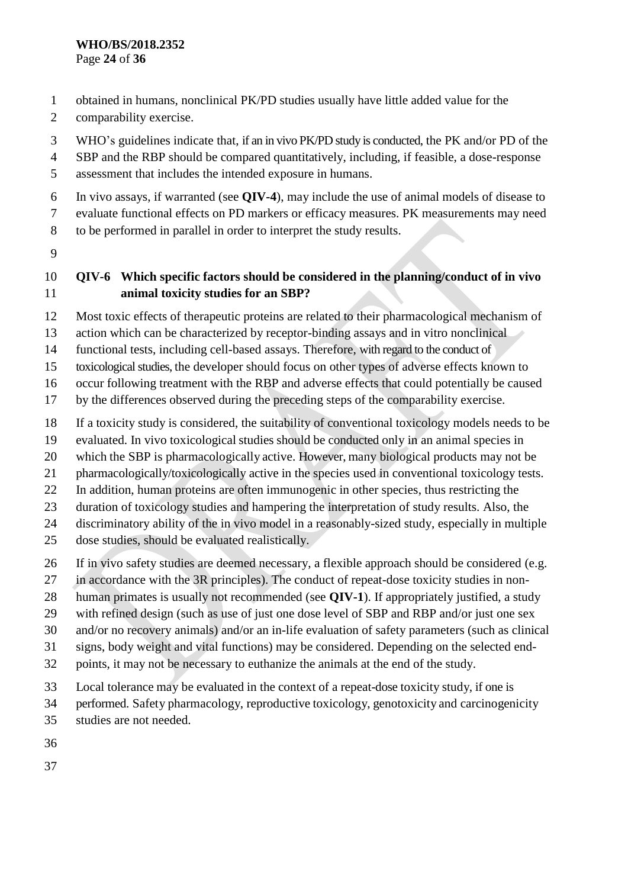- obtained in humans, nonclinical PK/PD studies usually have little added value for the
- comparability exercise.
- WHO's guidelines indicate that, if an in vivo PK/PD study is conducted, the PK and/or PD of the
- SBP and the RBP should be compared quantitatively, including, if feasible, a dose-response
- assessment that includes the intended exposure in humans.
- In vivo assays, if warranted (see **QIV-4**), may include the use of animal models of disease to
- evaluate functional effects on PD markers or efficacy measures. PK measurements may need
- to be performed in parallel in order to interpret the study results.
- 

## **QIV-6 Which specific factors should be considered in the planning/conduct of in vivo animal toxicity studies for an SBP?**

- Most toxic effects of therapeutic proteins are related to their pharmacological mechanism of
- action which can be characterized by receptor-binding assays and in vitro nonclinical
- functional tests, including cell-based assays. Therefore, with regard to the conduct of
- toxicological studies, the developer should focus on other types of adverse effects known to
- occur following treatment with the RBP and adverse effects that could potentially be caused
- by the differences observed during the preceding steps of the comparability exercise.
- If a toxicity study is considered, the suitability of conventional toxicology models needs to be
- evaluated. In vivo toxicological studies should be conducted only in an animal species in
- which the SBP is pharmacologically active. However, many biological products may not be
- pharmacologically/toxicologically active in the species used in conventional toxicology tests.
- In addition, human proteins are often immunogenic in other species, thus restricting the
- duration of toxicology studies and hampering the interpretation of study results. Also, the
- discriminatory ability of the in vivo model in a reasonably-sized study, especially in multiple
- dose studies, should be evaluated realistically.
- If in vivo safety studies are deemed necessary, a flexible approach should be considered (e.g.
- in accordance with the 3R principles). The conduct of repeat-dose toxicity studies in non-
- human primates is usually not recommended (see **QIV-1**). If appropriately justified, a study
- with refined design (such as use of just one dose level of SBP and RBP and/or just one sex
- and/or no recovery animals) and/or an in-life evaluation of safety parameters (such as clinical
- signs, body weight and vital functions) may be considered. Depending on the selected end-
- points, it may not be necessary to euthanize the animals at the end of the study.
- Local tolerance may be evaluated in the context of a repeat-dose toxicity study, if one is
- performed. Safety pharmacology, reproductive toxicology, genotoxicity and carcinogenicity
- studies are not needed.
- 
-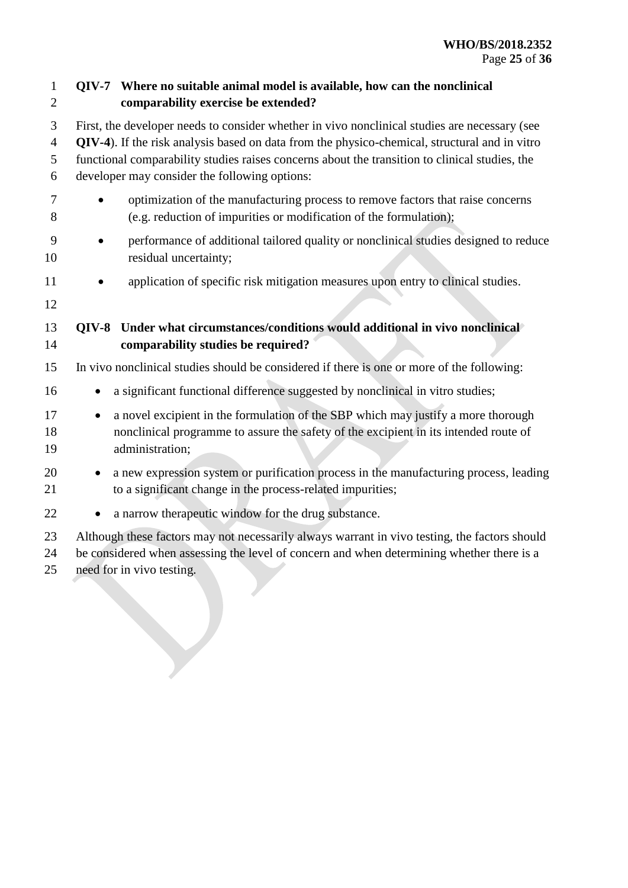| $\mathbf 1$<br>$\overline{2}$ | QIV-7 Where no suitable animal model is available, how can the nonclinical<br>comparability exercise be extended?                                                                                                                                                                                                                                 |  |
|-------------------------------|---------------------------------------------------------------------------------------------------------------------------------------------------------------------------------------------------------------------------------------------------------------------------------------------------------------------------------------------------|--|
| 3<br>$\overline{4}$<br>5<br>6 | First, the developer needs to consider whether in vivo nonclinical studies are necessary (see<br>QIV-4). If the risk analysis based on data from the physico-chemical, structural and in vitro<br>functional comparability studies raises concerns about the transition to clinical studies, the<br>developer may consider the following options: |  |
| 7<br>8                        | optimization of the manufacturing process to remove factors that raise concerns<br>(e.g. reduction of impurities or modification of the formulation);                                                                                                                                                                                             |  |
| 9<br>10                       | performance of additional tailored quality or nonclinical studies designed to reduce<br>residual uncertainty;                                                                                                                                                                                                                                     |  |
| 11<br>12                      | application of specific risk mitigation measures upon entry to clinical studies.                                                                                                                                                                                                                                                                  |  |
| 13<br>14                      | Under what circumstances/conditions would additional in vivo nonclinical<br><b>OIV-8</b><br>comparability studies be required?                                                                                                                                                                                                                    |  |
| 15                            | In vivo nonclinical studies should be considered if there is one or more of the following:                                                                                                                                                                                                                                                        |  |
| 16                            | a significant functional difference suggested by nonclinical in vitro studies;                                                                                                                                                                                                                                                                    |  |
| 17<br>18<br>19                | a novel excipient in the formulation of the SBP which may justify a more thorough<br>$\bullet$<br>nonclinical programme to assure the safety of the excipient in its intended route of<br>administration;                                                                                                                                         |  |
| 20<br>21                      | a new expression system or purification process in the manufacturing process, leading<br>to a significant change in the process-related impurities;                                                                                                                                                                                               |  |
| 22                            | a narrow therapeutic window for the drug substance.                                                                                                                                                                                                                                                                                               |  |
| 23<br>24<br>25                | Although these factors may not necessarily always warrant in vivo testing, the factors should<br>be considered when assessing the level of concern and when determining whether there is a<br>need for in vivo testing.                                                                                                                           |  |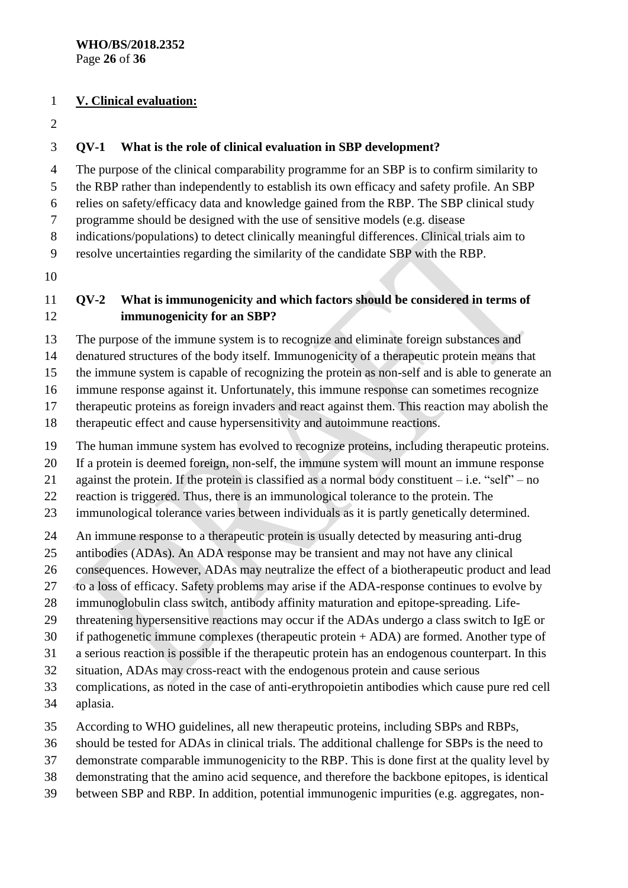#### **V. Clinical evaluation:**

#### **QV-1 What is the role of clinical evaluation in SBP development?**

The purpose of the clinical comparability programme for an SBP is to confirm similarity to

the RBP rather than independently to establish its own efficacy and safety profile. An SBP

relies on safety/efficacy data and knowledge gained from the RBP. The SBP clinical study

programme should be designed with the use of sensitive models (e.g. disease

indications/populations) to detect clinically meaningful differences. Clinical trials aim to

resolve uncertainties regarding the similarity of the candidate SBP with the RBP.

## **QV-2 What is immunogenicity and which factors should be considered in terms of immunogenicity for an SBP?**

The purpose of the immune system is to recognize and eliminate foreign substances and

denatured structures of the body itself. Immunogenicity of a therapeutic protein means that

the immune system is capable of recognizing the protein as non-self and is able to generate an

immune response against it. Unfortunately, this immune response can sometimes recognize

therapeutic proteins as foreign invaders and react against them. This reaction may abolish the

therapeutic effect and cause hypersensitivity and autoimmune reactions.

The human immune system has evolved to recognize proteins, including therapeutic proteins.

If a protein is deemed foreign, non-self, the immune system will mount an immune response

against the protein. If the protein is classified as a normal body constituent – i.e. "self" – no

reaction is triggered. Thus, there is an immunological tolerance to the protein. The

immunological tolerance varies between individuals as it is partly genetically determined.

An immune response to a therapeutic protein is usually detected by measuring anti-drug

antibodies (ADAs). An ADA response may be transient and may not have any clinical

consequences. However, ADAs may neutralize the effect of a biotherapeutic product and lead

to a loss of efficacy. Safety problems may arise if the ADA-response continues to evolve by

immunoglobulin class switch, antibody affinity maturation and epitope-spreading. Life-

threatening hypersensitive reactions may occur if the ADAs undergo a class switch to IgE or

if pathogenetic immune complexes (therapeutic protein + ADA) are formed. Another type of

a serious reaction is possible if the therapeutic protein has an endogenous counterpart. In this

situation, ADAs may cross-react with the endogenous protein and cause serious

 complications, as noted in the case of anti-erythropoietin antibodies which cause pure red cell aplasia.

According to WHO guidelines, all new therapeutic proteins, including SBPs and RBPs,

should be tested for ADAs in clinical trials. The additional challenge for SBPs is the need to

demonstrate comparable immunogenicity to the RBP. This is done first at the quality level by

- demonstrating that the amino acid sequence, and therefore the backbone epitopes, is identical
- between SBP and RBP. In addition, potential immunogenic impurities (e.g. aggregates, non-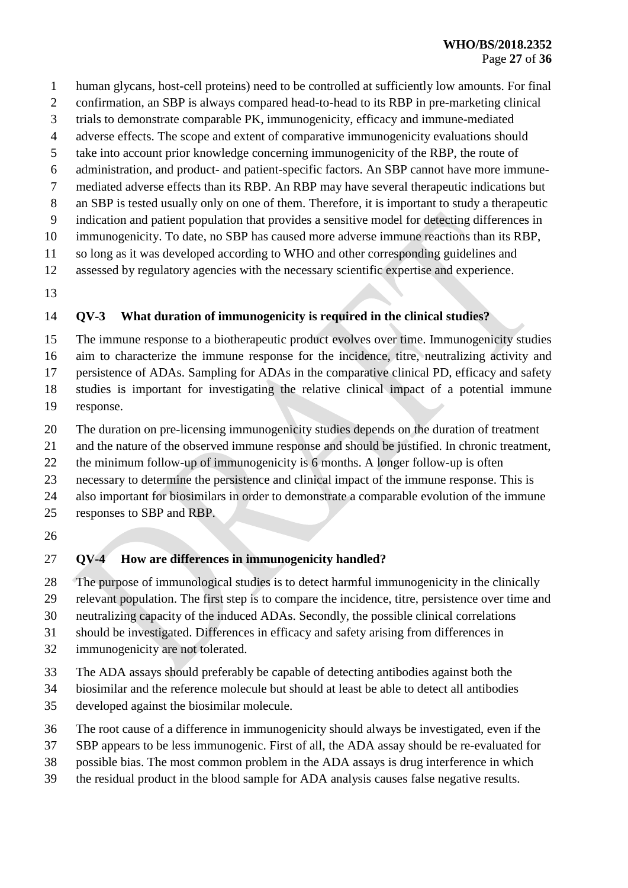- human glycans, host-cell proteins) need to be controlled at sufficiently low amounts. For final
- confirmation, an SBP is always compared head-to-head to its RBP in pre-marketing clinical
- trials to demonstrate comparable PK, immunogenicity, efficacy and immune-mediated
- adverse effects. The scope and extent of comparative immunogenicity evaluations should
- take into account prior knowledge concerning immunogenicity of the RBP, the route of
- administration, and product- and patient-specific factors. An SBP cannot have more immune-
- mediated adverse effects than its RBP. An RBP may have several therapeutic indications but
- an SBP is tested usually only on one of them. Therefore, it is important to study a therapeutic indication and patient population that provides a sensitive model for detecting differences in
- immunogenicity. To date, no SBP has caused more adverse immune reactions than its RBP,
- so long as it was developed according to WHO and other corresponding guidelines and
- assessed by regulatory agencies with the necessary scientific expertise and experience.
- 

## **QV-3 What duration of immunogenicity is required in the clinical studies?**

The immune response to a biotherapeutic product evolves over time. Immunogenicity studies

- aim to characterize the immune response for the incidence, titre, neutralizing activity and persistence of ADAs. Sampling for ADAs in the comparative clinical PD, efficacy and safety
- studies is important for investigating the relative clinical impact of a potential immune
- response.
- The duration on pre-licensing immunogenicity studies depends on the duration of treatment
- and the nature of the observed immune response and should be justified. In chronic treatment,
- the minimum follow-up of immunogenicity is 6 months. A longer follow-up is often
- necessary to determine the persistence and clinical impact of the immune response. This is
- also important for biosimilars in order to demonstrate a comparable evolution of the immune
- responses to SBP and RBP.
- 

## **QV-4 How are differences in immunogenicity handled?**

The purpose of immunological studies is to detect harmful immunogenicity in the clinically

relevant population. The first step is to compare the incidence, titre, persistence over time and

- neutralizing capacity of the induced ADAs. Secondly, the possible clinical correlations
- should be investigated. Differences in efficacy and safety arising from differences in
- immunogenicity are not tolerated.
- The ADA assays should preferably be capable of detecting antibodies against both the
- biosimilar and the reference molecule but should at least be able to detect all antibodies
- developed against the biosimilar molecule.
- The root cause of a difference in immunogenicity should always be investigated, even if the
- SBP appears to be less immunogenic. First of all, the ADA assay should be re-evaluated for
- possible bias. The most common problem in the ADA assays is drug interference in which
- the residual product in the blood sample for ADA analysis causes false negative results.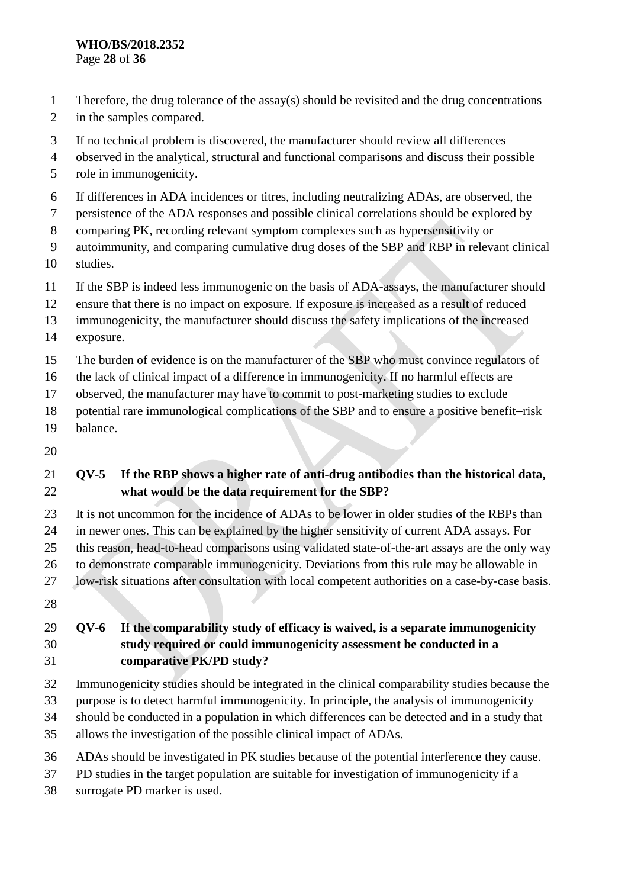#### **WHO/BS/2018.2352** Page **28** of **36**

- Therefore, the drug tolerance of the assay(s) should be revisited and the drug concentrations
- in the samples compared.
- If no technical problem is discovered, the manufacturer should review all differences
- observed in the analytical, structural and functional comparisons and discuss their possible
- role in immunogenicity.
- If differences in ADA incidences or titres, including neutralizing ADAs, are observed, the
- persistence of the ADA responses and possible clinical correlations should be explored by
- comparing PK, recording relevant symptom complexes such as hypersensitivity or
- autoimmunity, and comparing cumulative drug doses of the SBP and RBP in relevant clinical
- studies.
- If the SBP is indeed less immunogenic on the basis of ADA-assays, the manufacturer should
- ensure that there is no impact on exposure. If exposure is increased as a result of reduced
- immunogenicity, the manufacturer should discuss the safety implications of the increased
- exposure.
- The burden of evidence is on the manufacturer of the SBP who must convince regulators of
- the lack of clinical impact of a difference in immunogenicity. If no harmful effects are
- observed, the manufacturer may have to commit to post-marketing studies to exclude
- 18 potential rare immunological complications of the SBP and to ensure a positive benefit-risk
- balance.
- 

## **QV-5 If the RBP shows a higher rate of anti-drug antibodies than the historical data, what would be the data requirement for the SBP?**

- It is not uncommon for the incidence of ADAs to be lower in older studies of the RBPs than
- in newer ones. This can be explained by the higher sensitivity of current ADA assays. For
- this reason, head-to-head comparisons using validated state-of-the-art assays are the only way
- to demonstrate comparable immunogenicity. Deviations from this rule may be allowable in
- low-risk situations after consultation with local competent authorities on a case-by-case basis.
- 

## **QV-6 If the comparability study of efficacy is waived, is a separate immunogenicity study required or could immunogenicity assessment be conducted in a comparative PK/PD study?**

- Immunogenicity studies should be integrated in the clinical comparability studies because the
- purpose is to detect harmful immunogenicity. In principle, the analysis of immunogenicity
- should be conducted in a population in which differences can be detected and in a study that
- allows the investigation of the possible clinical impact of ADAs.
- ADAs should be investigated in PK studies because of the potential interference they cause.
- PD studies in the target population are suitable for investigation of immunogenicity if a
- surrogate PD marker is used.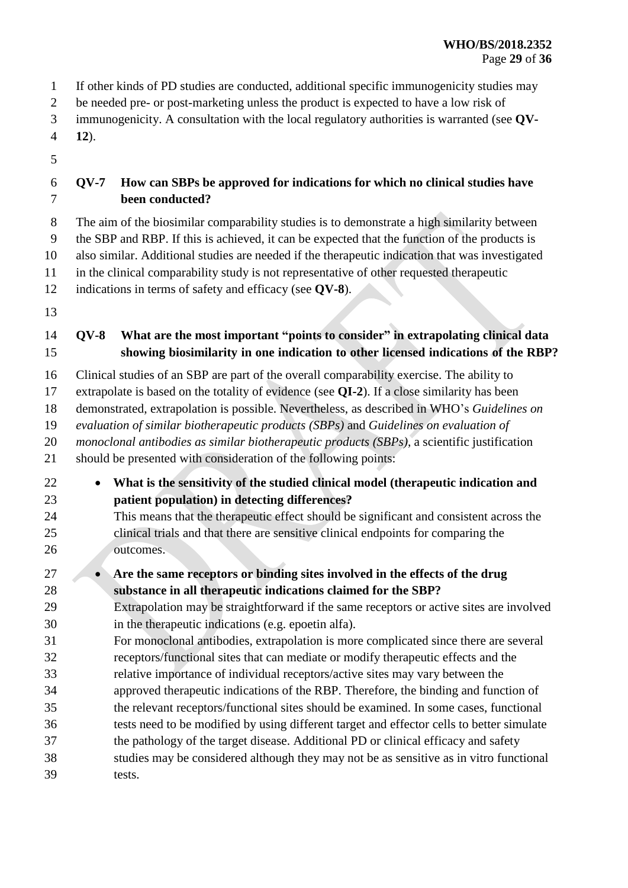- If other kinds of PD studies are conducted, additional specific immunogenicity studies may
- be needed pre- or post-marketing unless the product is expected to have a low risk of
- immunogenicity. A consultation with the local regulatory authorities is warranted (see **QV-**
- **12**).
- 

## **QV-7 How can SBPs be approved for indications for which no clinical studies have been conducted?**

- The aim of the biosimilar comparability studies is to demonstrate a high similarity between
- the SBP and RBP. If this is achieved, it can be expected that the function of the products is
- also similar. Additional studies are needed if the therapeutic indication that was investigated
- in the clinical comparability study is not representative of other requested therapeutic
- indications in terms of safety and efficacy (see **QV-8**).
- 

## **QV-8 What are the most important "points to consider" in extrapolating clinical data showing biosimilarity in one indication to other licensed indications of the RBP?**

- Clinical studies of an SBP are part of the overall comparability exercise. The ability to
- extrapolate is based on the totality of evidence (see **QI-2**). If a close similarity has been
- demonstrated, extrapolation is possible. Nevertheless, as described in WHO's *Guidelines on*
- *evaluation of similar biotherapeutic products (SBPs)* and *Guidelines on evaluation of*
- *monoclonal antibodies as similar biotherapeutic products (SBPs)*, a scientific justification
- should be presented with consideration of the following points:
- **What is the sensitivity of the studied clinical model (therapeutic indication and patient population) in detecting differences?** This means that the therapeutic effect should be significant and consistent across the clinical trials and that there are sensitive clinical endpoints for comparing the
- outcomes.
- **Are the same receptors or binding sites involved in the effects of the drug substance in all therapeutic indications claimed for the SBP?**
- Extrapolation may be straightforward if the same receptors or active sites are involved in the therapeutic indications (e.g. epoetin alfa).
- For monoclonal antibodies, extrapolation is more complicated since there are several receptors/functional sites that can mediate or modify therapeutic effects and the
- relative importance of individual receptors/active sites may vary between the
- approved therapeutic indications of the RBP. Therefore, the binding and function of the relevant receptors/functional sites should be examined. In some cases, functional tests need to be modified by using different target and effector cells to better simulate the pathology of the target disease. Additional PD or clinical efficacy and safety studies may be considered although they may not be as sensitive as in vitro functional
- tests.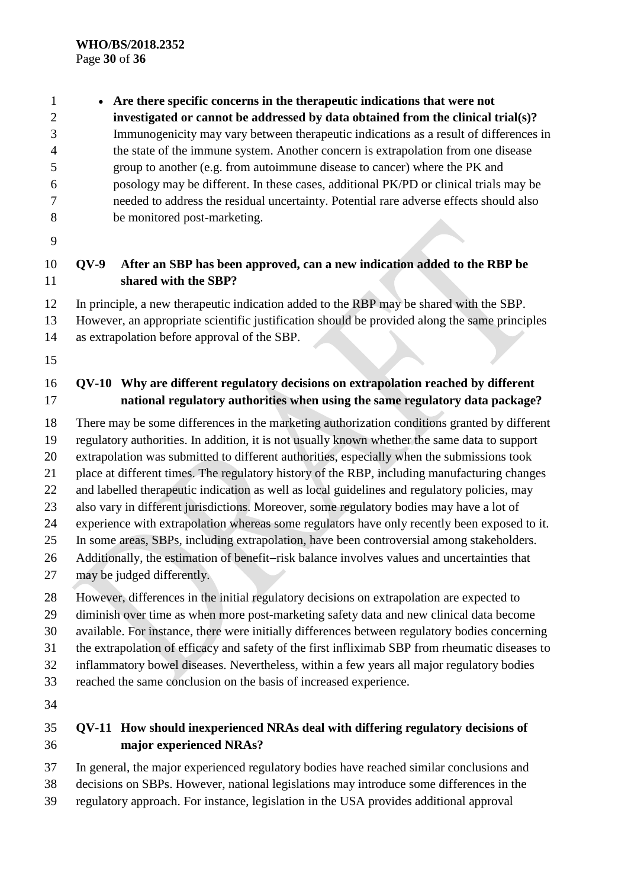**Are there specific concerns in the therapeutic indications that were not investigated or cannot be addressed by data obtained from the clinical trial(s)?** Immunogenicity may vary between therapeutic indications as a result of differences in the state of the immune system. Another concern is extrapolation from one disease group to another (e.g. from autoimmune disease to cancer) where the PK and posology may be different. In these cases, additional PK/PD or clinical trials may be needed to address the residual uncertainty. Potential rare adverse effects should also be monitored post-marketing.

## **QV-9 After an SBP has been approved, can a new indication added to the RBP be shared with the SBP?**

In principle, a new therapeutic indication added to the RBP may be shared with the SBP.

 However, an appropriate scientific justification should be provided along the same principles as extrapolation before approval of the SBP.

## **QV-10 Why are different regulatory decisions on extrapolation reached by different national regulatory authorities when using the same regulatory data package?**

 There may be some differences in the marketing authorization conditions granted by different regulatory authorities. In addition, it is not usually known whether the same data to support extrapolation was submitted to different authorities, especially when the submissions took place at different times. The regulatory history of the RBP, including manufacturing changes and labelled therapeutic indication as well as local guidelines and regulatory policies, may also vary in different jurisdictions. Moreover, some regulatory bodies may have a lot of experience with extrapolation whereas some regulators have only recently been exposed to it. In some areas, SBPs, including extrapolation, have been controversial among stakeholders. 26 Additionally, the estimation of benefit-risk balance involves values and uncertainties that

may be judged differently.

However, differences in the initial regulatory decisions on extrapolation are expected to

diminish over time as when more post-marketing safety data and new clinical data become

available. For instance, there were initially differences between regulatory bodies concerning

the extrapolation of efficacy and safety of the first infliximab SBP from rheumatic diseases to

inflammatory bowel diseases. Nevertheless, within a few years all major regulatory bodies

reached the same conclusion on the basis of increased experience.

## **QV-11 How should inexperienced NRAs deal with differing regulatory decisions of major experienced NRAs?**

In general, the major experienced regulatory bodies have reached similar conclusions and

decisions on SBPs. However, national legislations may introduce some differences in the

regulatory approach. For instance, legislation in the USA provides additional approval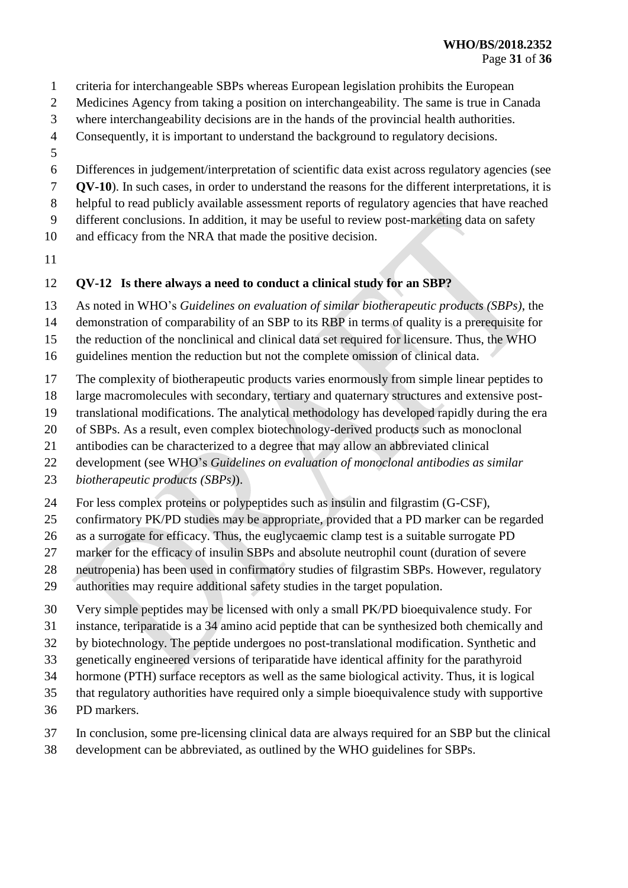- criteria for interchangeable SBPs whereas European legislation prohibits the European
- Medicines Agency from taking a position on interchangeability. The same is true in Canada
- where interchangeability decisions are in the hands of the provincial health authorities.
- Consequently, it is important to understand the background to regulatory decisions.
- 
- Differences in judgement/interpretation of scientific data exist across regulatory agencies (see
- **QV-10**). In such cases, in order to understand the reasons for the different interpretations, it is
- helpful to read publicly available assessment reports of regulatory agencies that have reached
- different conclusions. In addition, it may be useful to review post-marketing data on safety
- and efficacy from the NRA that made the positive decision.
- 

## **QV-12 Is there always a need to conduct a clinical study for an SBP?**

- As noted in WHO's *Guidelines on evaluation of similar biotherapeutic products (SBPs)*, the
- demonstration of comparability of an SBP to its RBP in terms of quality is a prerequisite for
- the reduction of the nonclinical and clinical data set required for licensure. Thus, the WHO
- guidelines mention the reduction but not the complete omission of clinical data.
- The complexity of biotherapeutic products varies enormously from simple linear peptides to
- large macromolecules with secondary, tertiary and quaternary structures and extensive post-
- translational modifications. The analytical methodology has developed rapidly during the era
- of SBPs. As a result, even complex biotechnology-derived products such as monoclonal
- antibodies can be characterized to a degree that may allow an abbreviated clinical
- development (see WHO's *Guidelines on evaluation of monoclonal antibodies as similar*
- *biotherapeutic products (SBPs)*).
- For less complex proteins or polypeptides such as insulin and filgrastim (G-CSF),
- confirmatory PK/PD studies may be appropriate, provided that a PD marker can be regarded
- as a surrogate for efficacy. Thus, the euglycaemic clamp test is a suitable surrogate PD
- marker for the efficacy of insulin SBPs and absolute neutrophil count (duration of severe
- neutropenia) has been used in confirmatory studies of filgrastim SBPs. However, regulatory
- authorities may require additional safety studies in the target population.
- Very simple peptides may be licensed with only a small PK/PD bioequivalence study. For
- instance, teriparatide is a 34 amino acid peptide that can be synthesized both chemically and
- by biotechnology. The peptide undergoes no post-translational modification. Synthetic and
- genetically engineered versions of teriparatide have identical affinity for the parathyroid
- hormone (PTH) surface receptors as well as the same biological activity. Thus, it is logical
- that regulatory authorities have required only a simple bioequivalence study with supportive
- PD markers.
- In conclusion, some pre-licensing clinical data are always required for an SBP but the clinical
- development can be abbreviated, as outlined by the WHO guidelines for SBPs.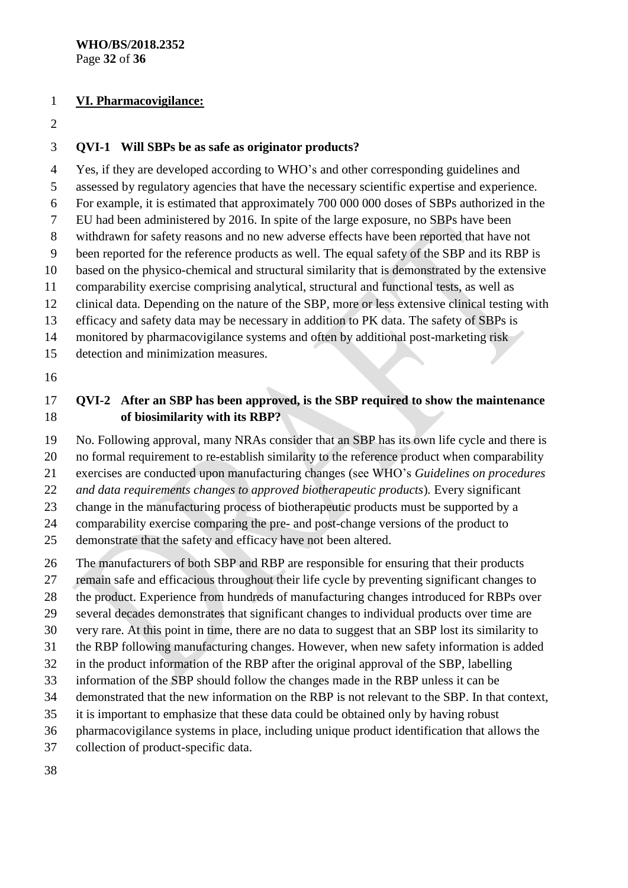#### **VI. Pharmacovigilance:**

#### **QVI-1 Will SBPs be as safe as originator products?**

 Yes, if they are developed according to WHO's and other corresponding guidelines and assessed by regulatory agencies that have the necessary scientific expertise and experience. For example, it is estimated that approximately 700 000 000 doses of SBPs authorized in the EU had been administered by 2016. In spite of the large exposure, no SBPs have been withdrawn for safety reasons and no new adverse effects have been reported that have not been reported for the reference products as well. The equal safety of the SBP and its RBP is based on the physico-chemical and structural similarity that is demonstrated by the extensive comparability exercise comprising analytical, structural and functional tests, as well as clinical data. Depending on the nature of the SBP, more or less extensive clinical testing with efficacy and safety data may be necessary in addition to PK data. The safety of SBPs is monitored by pharmacovigilance systems and often by additional post-marketing risk detection and minimization measures.

### **QVI-2 After an SBP has been approved, is the SBP required to show the maintenance of biosimilarity with its RBP?**

No. Following approval, many NRAs consider that an SBP has its own life cycle and there is

no formal requirement to re-establish similarity to the reference product when comparability

exercises are conducted upon manufacturing changes (see WHO's *Guidelines on procedures* 

*and data requirements changes to approved biotherapeutic products*)*.* Every significant

change in the manufacturing process of biotherapeutic products must be supported by a

comparability exercise comparing the pre- and post-change versions of the product to

demonstrate that the safety and efficacy have not been altered.

The manufacturers of both SBP and RBP are responsible for ensuring that their products

remain safe and efficacious throughout their life cycle by preventing significant changes to

the product. Experience from hundreds of manufacturing changes introduced for RBPs over

several decades demonstrates that significant changes to individual products over time are

very rare. At this point in time, there are no data to suggest that an SBP lost its similarity to

- the RBP following manufacturing changes. However, when new safety information is added
- in the product information of the RBP after the original approval of the SBP, labelling

information of the SBP should follow the changes made in the RBP unless it can be

demonstrated that the new information on the RBP is not relevant to the SBP. In that context,

it is important to emphasize that these data could be obtained only by having robust

pharmacovigilance systems in place, including unique product identification that allows the

collection of product-specific data.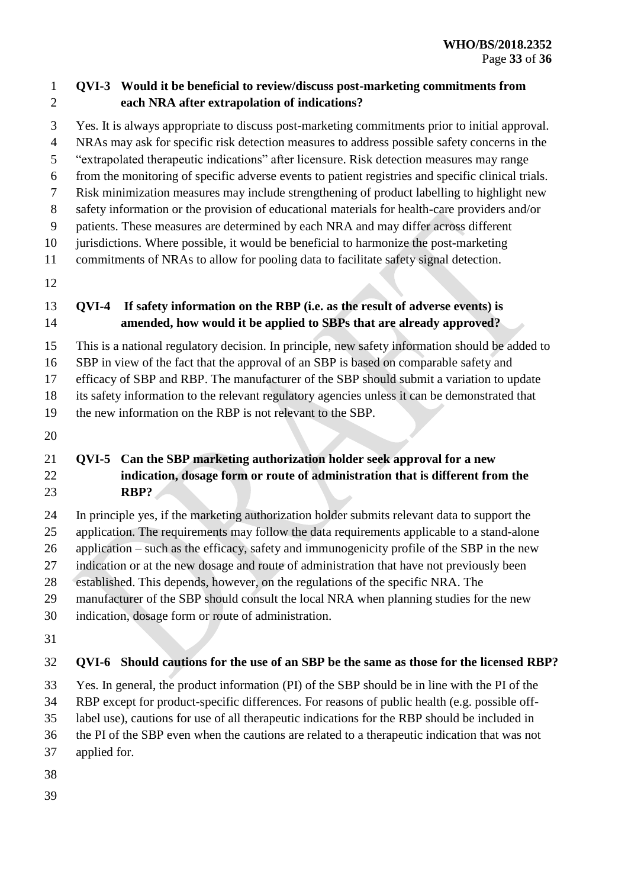#### **QVI-3 Would it be beneficial to review/discuss post-marketing commitments from each NRA after extrapolation of indications?**

 Yes. It is always appropriate to discuss post-marketing commitments prior to initial approval. NRAs may ask for specific risk detection measures to address possible safety concerns in the "extrapolated therapeutic indications" after licensure. Risk detection measures may range from the monitoring of specific adverse events to patient registries and specific clinical trials. Risk minimization measures may include strengthening of product labelling to highlight new safety information or the provision of educational materials for health-care providers and/or patients. These measures are determined by each NRA and may differ across different jurisdictions. Where possible, it would be beneficial to harmonize the post-marketing commitments of NRAs to allow for pooling data to facilitate safety signal detection.

## **QVI-4 If safety information on the RBP (i.e. as the result of adverse events) is amended, how would it be applied to SBPs that are already approved?**

This is a national regulatory decision. In principle, new safety information should be added to

SBP in view of the fact that the approval of an SBP is based on comparable safety and

efficacy of SBP and RBP. The manufacturer of the SBP should submit a variation to update

its safety information to the relevant regulatory agencies unless it can be demonstrated that

the new information on the RBP is not relevant to the SBP.

## **QVI-5 Can the SBP marketing authorization holder seek approval for a new indication, dosage form or route of administration that is different from the RBP?**

 In principle yes, if the marketing authorization holder submits relevant data to support the application. The requirements may follow the data requirements applicable to a stand-alone application – such as the efficacy, safety and immunogenicity profile of the SBP in the new indication or at the new dosage and route of administration that have not previously been established. This depends, however, on the regulations of the specific NRA. The manufacturer of the SBP should consult the local NRA when planning studies for the new

- indication, dosage form or route of administration.
- 

# **QVI-6 Should cautions for the use of an SBP be the same as those for the licensed RBP?**

 Yes. In general, the product information (PI) of the SBP should be in line with the PI of the RBP except for product-specific differences. For reasons of public health (e.g. possible off-

label use), cautions for use of all therapeutic indications for the RBP should be included in

- the PI of the SBP even when the cautions are related to a therapeutic indication that was not
- applied for.
- 
-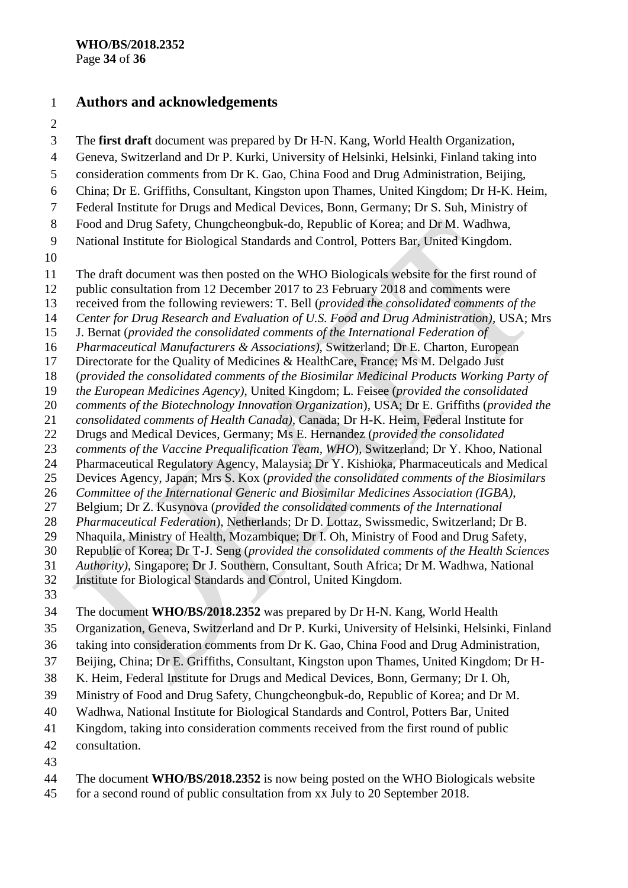## **Authors and acknowledgements**

 The **first draft** document was prepared by Dr H-N. Kang, World Health Organization, Geneva, Switzerland and Dr P. Kurki, University of Helsinki, Helsinki, Finland taking into consideration comments from Dr K. Gao, China Food and Drug Administration, Beijing, China; Dr E. Griffiths, Consultant, Kingston upon Thames, United Kingdom; Dr H-K. Heim, Federal Institute for Drugs and Medical Devices, Bonn, Germany; Dr S. Suh, Ministry of Food and Drug Safety, Chungcheongbuk-do, Republic of Korea; and Dr M. Wadhwa, National Institute for Biological Standards and Control, Potters Bar, United Kingdom. The draft document was then posted on the WHO Biologicals website for the first round of public consultation from 12 December 2017 to 23 February 2018 and comments were received from the following reviewers: T. Bell (*provided the consolidated comments of the Center for Drug Research and Evaluation of U.S. Food and Drug Administration)*, USA; Mrs J. Bernat (*provided the consolidated comments of the International Federation of Pharmaceutical Manufacturers & Associations)*, Switzerland; Dr E. Charton, European Directorate for the Quality of Medicines & HealthCare, France; Ms M. Delgado Just (*provided the consolidated comments of the Biosimilar Medicinal Products Working Party of the European Medicines Agency)*, United Kingdom; L. Feisee (*provided the consolidated comments of the Biotechnology Innovation Organization*), USA; Dr E. Griffiths (*provided the consolidated comments of Health Canada),* Canada; Dr H-K. Heim, Federal Institute for Drugs and Medical Devices, Germany; Ms E. Hernandez (*provided the consolidated comments of the Vaccine Prequalification Team, WHO*), Switzerland; Dr Y. Khoo, National Pharmaceutical Regulatory Agency, Malaysia; Dr Y. Kishioka, Pharmaceuticals and Medical Devices Agency, Japan; Mrs S. Kox (*provided the consolidated comments of the Biosimilars Committee of the International Generic and Biosimilar Medicines Association (IGBA)*, Belgium; Dr Z. Kusynova (*provided the consolidated comments of the International Pharmaceutical Federation*), Netherlands; Dr D. Lottaz, Swissmedic, Switzerland; Dr B. Nhaquila, Ministry of Health, Mozambique; Dr I. Oh, Ministry of Food and Drug Safety, Republic of Korea; Dr T-J. Seng (*provided the consolidated comments of the Health Sciences Authority),* Singapore; Dr J. Southern, Consultant, South Africa; Dr M. Wadhwa, National Institute for Biological Standards and Control, United Kingdom. The document **WHO/BS/2018.2352** was prepared by Dr H-N. Kang, World Health Organization, Geneva, Switzerland and Dr P. Kurki, University of Helsinki, Helsinki, Finland taking into consideration comments from Dr K. Gao, China Food and Drug Administration, Beijing, China; Dr E. Griffiths, Consultant, Kingston upon Thames, United Kingdom; Dr H- K. Heim, Federal Institute for Drugs and Medical Devices, Bonn, Germany; Dr I. Oh, Ministry of Food and Drug Safety, Chungcheongbuk-do, Republic of Korea; and Dr M. Wadhwa, National Institute for Biological Standards and Control, Potters Bar, United Kingdom, taking into consideration comments received from the first round of public consultation.

- 
- The document **WHO/BS/2018.2352** is now being posted on the WHO Biologicals website
- for a second round of public consultation from xx July to 20 September 2018.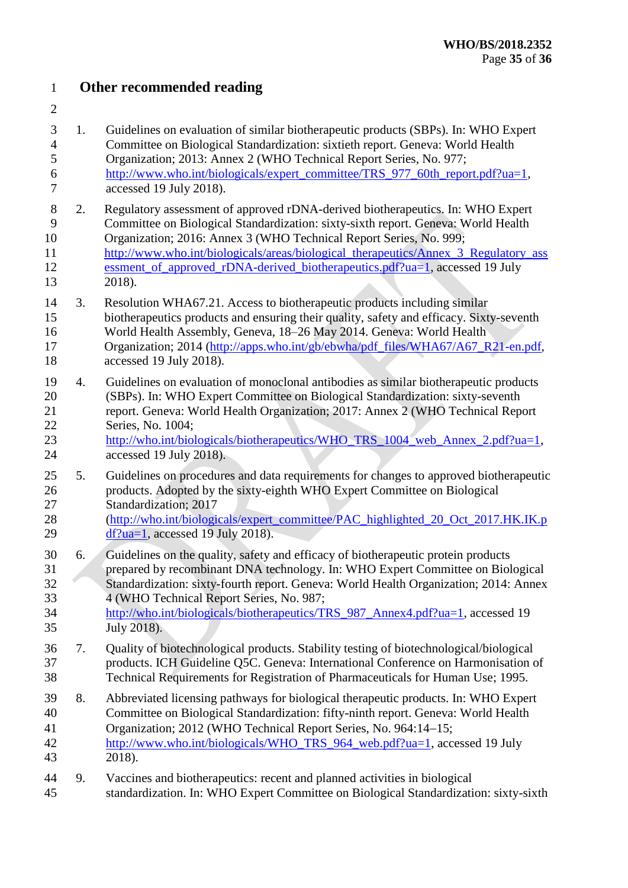### **Other recommended reading**

| $\overline{7}$                     |                  | accessed 19 July 2018).                                                                                                                                                                                                                                                                                                                                                                                                   |
|------------------------------------|------------------|---------------------------------------------------------------------------------------------------------------------------------------------------------------------------------------------------------------------------------------------------------------------------------------------------------------------------------------------------------------------------------------------------------------------------|
| $8\,$<br>9<br>10<br>11<br>12<br>13 | 2.               | Regulatory assessment of approved rDNA-derived biotherapeutics. In: WHO Expert<br>Committee on Biological Standardization: sixty-sixth report. Geneva: World Health<br>Organization; 2016: Annex 3 (WHO Technical Report Series, No. 999;<br>http://www.who.int/biologicals/areas/biological_therapeutics/Annex_3_Regulatory_ass<br>essment of approved rDNA-derived biotherapeutics.pdf?ua=1, accessed 19 July<br>2018). |
| 14<br>15<br>16<br>17<br>18         | 3.               | Resolution WHA67.21. Access to biotherapeutic products including similar<br>biotherapeutics products and ensuring their quality, safety and efficacy. Sixty-seventh<br>World Health Assembly, Geneva, 18-26 May 2014. Geneva: World Health<br>Organization; 2014 (http://apps.who.int/gb/ebwha/pdf_files/WHA67/A67_R21-en.pdf,<br>accessed 19 July 2018).                                                                 |
| 19<br>20<br>21<br>22<br>23<br>24   | $\overline{4}$ . | Guidelines on evaluation of monoclonal antibodies as similar biotherapeutic products<br>(SBPs). In: WHO Expert Committee on Biological Standardization: sixty-seventh<br>report. Geneva: World Health Organization; 2017: Annex 2 (WHO Technical Report<br>Series, No. 1004;<br>http://who.int/biologicals/biotherapeutics/WHO TRS 1004 web Annex 2.pdf?ua=1,<br>accessed 19 July 2018).                                  |
| 25<br>26<br>27<br>28<br>29         | 5.               | Guidelines on procedures and data requirements for changes to approved biotherapeutic<br>products. Adopted by the sixty-eighth WHO Expert Committee on Biological<br>Standardization; 2017<br>(http://who.int/biologicals/expert_committee/PAC_highlighted_20_Oct_2017.HK.IK.p<br>$df$ ?ua=1, accessed 19 July 2018).                                                                                                     |
| 30<br>31<br>32<br>33<br>34<br>35   | 6.               | Guidelines on the quality, safety and efficacy of biotherapeutic protein products<br>prepared by recombinant DNA technology. In: WHO Expert Committee on Biological<br>Standardization: sixty-fourth report. Geneva: World Health Organization; 2014: Annex<br>4 (WHO Technical Report Series, No. 987;<br>http://who.int/biologicals/biotherapeutics/TRS_987_Annex4.pdf?ua=1, accessed 19<br>July 2018).                 |
| 36<br>37<br>38                     | 7.               | Quality of biotechnological products. Stability testing of biotechnological/biological<br>products. ICH Guideline Q5C. Geneva: International Conference on Harmonisation of<br>Technical Requirements for Registration of Pharmaceuticals for Human Use; 1995.                                                                                                                                                            |
| 39<br>40                           | 8.               | Abbreviated licensing pathways for biological therapeutic products. In: WHO Expert<br>Committee on Biological Standardization: fifty-ninth report. Geneva: World Health                                                                                                                                                                                                                                                   |

 1. Guidelines on evaluation of similar biotherapeutic products (SBPs). In: WHO Expert Committee on Biological Standardization: sixtieth report. Geneva: World Health

[http://www.who.int/biologicals/expert\\_committee/TRS\\_977\\_60th\\_report.pdf?ua=1,](http://www.who.int/biologicals/expert_committee/TRS_977_60th_report.pdf?ua=1)

Organization; 2013: Annex 2 (WHO Technical Report Series, No. 977;

- 41 Organization; 2012 (WHO Technical Report Series, No. 964:14-15; [http://www.who.int/biologicals/WHO\\_TRS\\_964\\_web.pdf?ua=1,](http://www.who.int/biologicals/WHO_TRS_964_web.pdf?ua=1) accessed 19 July 2018).
- 9. Vaccines and biotherapeutics: recent and planned activities in biological standardization. In: WHO Expert Committee on Biological Standardization: sixty-sixth